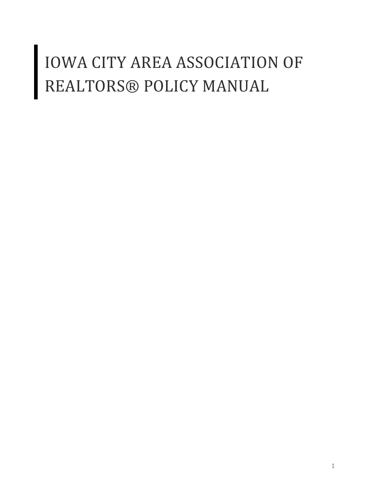# **IOWA CITY AREA ASSOCIATION OF** REALTORS® POLICY MANUAL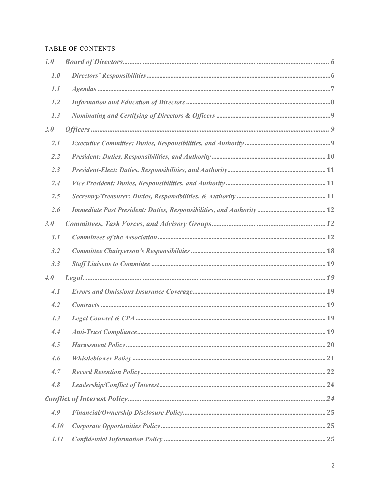## TABLE OF CONTENTS

| 1.0  |  |
|------|--|
| 1.0  |  |
| 1.1  |  |
| 1.2  |  |
| 1.3  |  |
| 2.0  |  |
| 2.1  |  |
| 2.2  |  |
| 2.3  |  |
| 2.4  |  |
| 2.5  |  |
| 2.6  |  |
| 3.0  |  |
| 3.1  |  |
| 3.2  |  |
| 3.3  |  |
| 4.0  |  |
| 4.1  |  |
| 4.2  |  |
| 4.3  |  |
| 4.4  |  |
| 4.5  |  |
| 4.6  |  |
| 4.7  |  |
| 4.8  |  |
|      |  |
| 4.9  |  |
| 4.10 |  |
| 4.11 |  |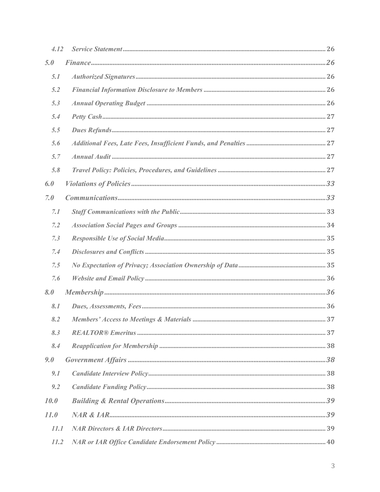| 4.12 |  |
|------|--|
| 5.0  |  |
| 5.1  |  |
| 5.2  |  |
| 5.3  |  |
| 5.4  |  |
| 5.5  |  |
| 5.6  |  |
| 5.7  |  |
| 5.8  |  |
| 6.0  |  |
| 7.0  |  |
| 7.1  |  |
| 7.2  |  |
| 7.3  |  |
| 7.4  |  |
|      |  |
| 7.5  |  |
| 7.6  |  |
| 8.0  |  |
| 8.1  |  |
| 8.2  |  |
| 8.3  |  |
| 8.4  |  |
| 9.0  |  |
| 9.1  |  |
| 9.2  |  |
| 10.0 |  |
| 11.0 |  |
| 11.1 |  |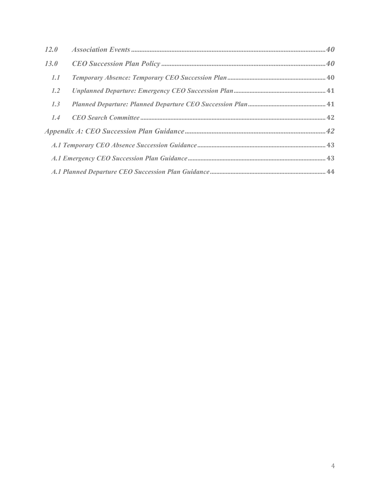| 12.0 |  |
|------|--|
| 13.0 |  |
| 1.1  |  |
| 1.2  |  |
| 1.3  |  |
| 1.4  |  |
|      |  |
|      |  |
|      |  |
|      |  |
|      |  |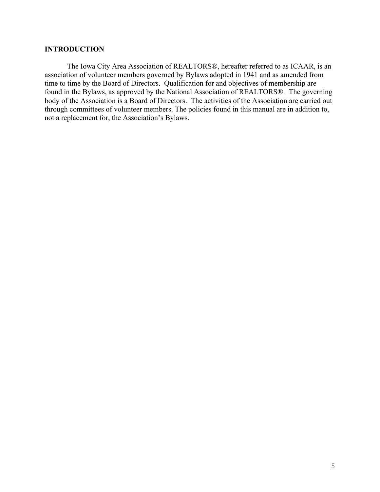#### **INTRODUCTION**

The Iowa City Area Association of REALTORS®, hereafter referred to as ICAAR, is an association of volunteer members governed by Bylaws adopted in 1941 and as amended from time to time by the Board of Directors. Qualification for and objectives of membership are found in the Bylaws, as approved by the National Association of REALTORS®. The governing body of the Association is a Board of Directors. The activities of the Association are carried out through committees of volunteer members. The policies found in this manual are in addition to, not a replacement for, the Association's Bylaws.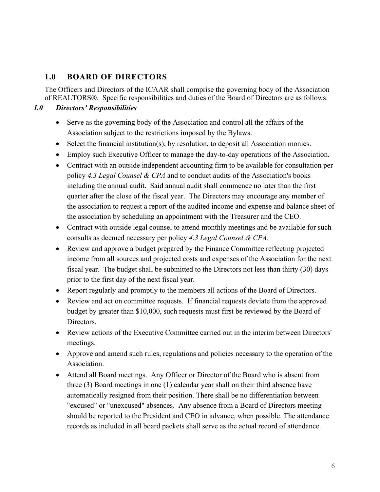# **1.0 BOARD OF DIRECTORS**

The Officers and Directors of the ICAAR shall comprise the governing body of the Association of REALTORS®. Specific responsibilities and duties of the Board of Directors are as follows:

## *1.0 Directors' Responsibilities*

- Serve as the governing body of the Association and control all the affairs of the Association subject to the restrictions imposed by the Bylaws.
- Select the financial institution(s), by resolution, to deposit all Association monies.
- Employ such Executive Officer to manage the day-to-day operations of the Association.
- Contract with an outside independent accounting firm to be available for consultation per policy *4.3 Legal Counsel & CPA* and to conduct audits of the Association's books including the annual audit. Said annual audit shall commence no later than the first quarter after the close of the fiscal year. The Directors may encourage any member of the association to request a report of the audited income and expense and balance sheet of the association by scheduling an appointment with the Treasurer and the CEO.
- Contract with outside legal counsel to attend monthly meetings and be available for such consults as deemed necessary per policy *4.3 Legal Counsel & CPA*.
- Review and approve a budget prepared by the Finance Committee reflecting projected income from all sources and projected costs and expenses of the Association for the next fiscal year. The budget shall be submitted to the Directors not less than thirty (30) days prior to the first day of the next fiscal year.
- Report regularly and promptly to the members all actions of the Board of Directors.
- Review and act on committee requests. If financial requests deviate from the approved budget by greater than \$10,000, such requests must first be reviewed by the Board of Directors.
- Review actions of the Executive Committee carried out in the interim between Directors' meetings.
- Approve and amend such rules, regulations and policies necessary to the operation of the Association.
- Attend all Board meetings. Any Officer or Director of the Board who is absent from three (3) Board meetings in one (1) calendar year shall on their third absence have automatically resigned from their position. There shall be no differentiation between "excused" or "unexcused" absences. Any absence from a Board of Directors meeting should be reported to the President and CEO in advance, when possible. The attendance records as included in all board packets shall serve as the actual record of attendance.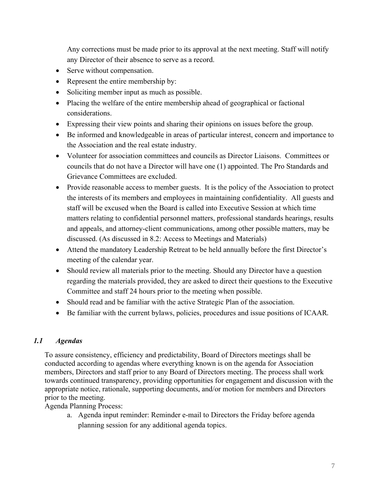Any corrections must be made prior to its approval at the next meeting. Staff will notify any Director of their absence to serve as a record.

- Serve without compensation.
- Represent the entire membership by:
- Soliciting member input as much as possible.
- Placing the welfare of the entire membership ahead of geographical or factional considerations.
- Expressing their view points and sharing their opinions on issues before the group.
- Be informed and knowledgeable in areas of particular interest, concern and importance to the Association and the real estate industry.
- Volunteer for association committees and councils as Director Liaisons. Committees or councils that do not have a Director will have one (1) appointed. The Pro Standards and Grievance Committees are excluded.
- Provide reasonable access to member guests. It is the policy of the Association to protect the interests of its members and employees in maintaining confidentiality. All guests and staff will be excused when the Board is called into Executive Session at which time matters relating to confidential personnel matters, professional standards hearings, results and appeals, and attorney-client communications, among other possible matters, may be discussed. (As discussed in 8.2: Access to Meetings and Materials)
- Attend the mandatory Leadership Retreat to be held annually before the first Director's meeting of the calendar year.
- Should review all materials prior to the meeting. Should any Director have a question regarding the materials provided, they are asked to direct their questions to the Executive Committee and staff 24 hours prior to the meeting when possible.
- Should read and be familiar with the active Strategic Plan of the association.
- Be familiar with the current bylaws, policies, procedures and issue positions of ICAAR.

## *1.1 Agendas*

To assure consistency, efficiency and predictability, Board of Directors meetings shall be conducted according to agendas where everything known is on the agenda for Association members, Directors and staff prior to any Board of Directors meeting. The process shall work towards continued transparency, providing opportunities for engagement and discussion with the appropriate notice, rationale, supporting documents, and/or motion for members and Directors prior to the meeting.

Agenda Planning Process:

a. Agenda input reminder: Reminder e-mail to Directors the Friday before agenda planning session for any additional agenda topics.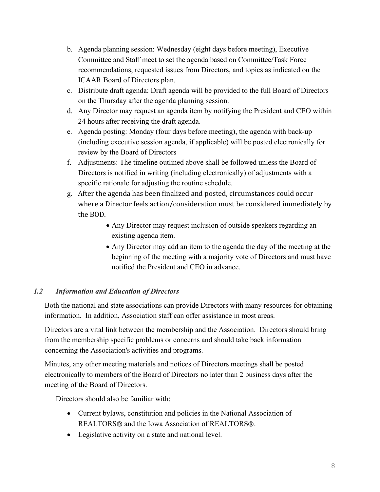- b. Agenda planning session: Wednesday (eight days before meeting), Executive Committee and Staff meet to set the agenda based on Committee/Task Force recommendations, requested issues from Directors, and topics as indicated on the ICAAR Board of Directors plan.
- c. Distribute draft agenda: Draft agenda will be provided to the full Board of Directors on the Thursday after the agenda planning session.
- d. Any Director may request an agenda item by notifying the President and CEO within 24 hours after receiving the draft agenda.
- e. Agenda posting: Monday (four days before meeting), the agenda with back-up (including executive session agenda, if applicable) will be posted electronically for review by the Board of Directors
- f. Adjustments: The timeline outlined above shall be followed unless the Board of Directors is notified in writing (including electronically) of adjustments with a specific rationale for adjusting the routine schedule.
- g. After the agenda has been finalized and posted, circumstances could occur where a Director feels action/consideration must be considered immediately by the BOD.
	- Any Director may request inclusion of outside speakers regarding an existing agenda item.
	- Any Director may add an item to the agenda the day of the meeting at the beginning of the meeting with a majority vote of Directors and must have notified the President and CEO in advance.

## *1.2 Information and Education of Directors*

Both the national and state associations can provide Directors with many resources for obtaining information. In addition, Association staff can offer assistance in most areas.

Directors are a vital link between the membership and the Association. Directors should bring from the membership specific problems or concerns and should take back information concerning the Association's activities and programs.

Minutes, any other meeting materials and notices of Directors meetings shall be posted electronically to members of the Board of Directors no later than 2 business days after the meeting of the Board of Directors.

Directors should also be familiar with:

- Current bylaws, constitution and policies in the National Association of REALTORS® and the Iowa Association of REALTORS®.
- Legislative activity on a state and national level.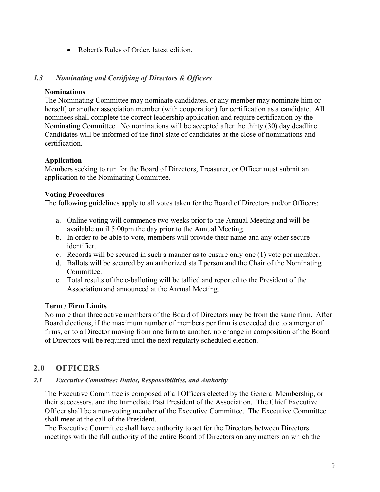• Robert's Rules of Order, latest edition.

## *1.3 Nominating and Certifying of Directors & Officers*

#### **Nominations**

The Nominating Committee may nominate candidates, or any member may nominate him or herself, or another association member (with cooperation) for certification as a candidate. All nominees shall complete the correct leadership application and require certification by the Nominating Committee. No nominations will be accepted after the thirty (30) day deadline. Candidates will be informed of the final slate of candidates at the close of nominations and certification.

#### **Application**

Members seeking to run for the Board of Directors, Treasurer, or Officer must submit an application to the Nominating Committee.

#### **Voting Procedures**

The following guidelines apply to all votes taken for the Board of Directors and/or Officers:

- a. Online voting will commence two weeks prior to the Annual Meeting and will be available until 5:00pm the day prior to the Annual Meeting.
- b. In order to be able to vote, members will provide their name and any other secure identifier.
- c. Records will be secured in such a manner as to ensure only one (1) vote per member.
- d. Ballots will be secured by an authorized staff person and the Chair of the Nominating Committee.
- e. Total results of the e-balloting will be tallied and reported to the President of the Association and announced at the Annual Meeting.

#### **Term / Firm Limits**

No more than three active members of the Board of Directors may be from the same firm. After Board elections, if the maximum number of members per firm is exceeded due to a merger of firms, or to a Director moving from one firm to another, no change in composition of the Board of Directors will be required until the next regularly scheduled election.

## **2.0 OFFICERS**

#### *2.1 Executive Committee: Duties, Responsibilities, and Authority*

The Executive Committee is composed of all Officers elected by the General Membership, or their successors, and the Immediate Past President of the Association. The Chief Executive Officer shall be a non-voting member of the Executive Committee. The Executive Committee shall meet at the call of the President.

The Executive Committee shall have authority to act for the Directors between Directors meetings with the full authority of the entire Board of Directors on any matters on which the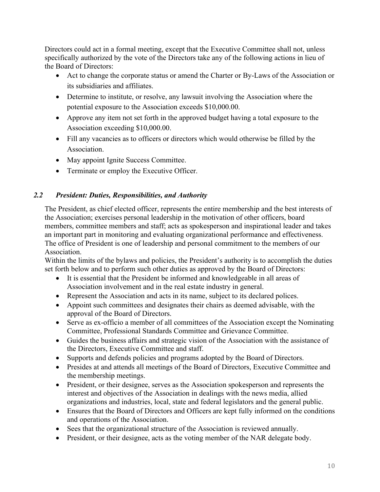Directors could act in a formal meeting, except that the Executive Committee shall not, unless specifically authorized by the vote of the Directors take any of the following actions in lieu of the Board of Directors:

- Act to change the corporate status or amend the Charter or By-Laws of the Association or its subsidiaries and affiliates.
- Determine to institute, or resolve, any lawsuit involving the Association where the potential exposure to the Association exceeds \$10,000.00.
- Approve any item not set forth in the approved budget having a total exposure to the Association exceeding \$10,000.00.
- Fill any vacancies as to officers or directors which would otherwise be filled by the Association.
- May appoint Ignite Success Committee.
- Terminate or employ the Executive Officer.

## *2.2 President: Duties, Responsibilities, and Authority*

The President, as chief elected officer, represents the entire membership and the best interests of the Association; exercises personal leadership in the motivation of other officers, board members, committee members and staff; acts as spokesperson and inspirational leader and takes an important part in monitoring and evaluating organizational performance and effectiveness. The office of President is one of leadership and personal commitment to the members of our Association.

Within the limits of the bylaws and policies, the President's authority is to accomplish the duties set forth below and to perform such other duties as approved by the Board of Directors:

- It is essential that the President be informed and knowledgeable in all areas of Association involvement and in the real estate industry in general.
- Represent the Association and acts in its name, subject to its declared polices.
- Appoint such committees and designates their chairs as deemed advisable, with the approval of the Board of Directors.
- Serve as ex-officio a member of all committees of the Association except the Nominating Committee, Professional Standards Committee and Grievance Committee.
- Guides the business affairs and strategic vision of the Association with the assistance of the Directors, Executive Committee and staff.
- Supports and defends policies and programs adopted by the Board of Directors.
- Presides at and attends all meetings of the Board of Directors, Executive Committee and the membership meetings.
- President, or their designee, serves as the Association spokesperson and represents the interest and objectives of the Association in dealings with the news media, allied organizations and industries, local, state and federal legislators and the general public.
- Ensures that the Board of Directors and Officers are kept fully informed on the conditions and operations of the Association.
- Sees that the organizational structure of the Association is reviewed annually.
- President, or their designee, acts as the voting member of the NAR delegate body.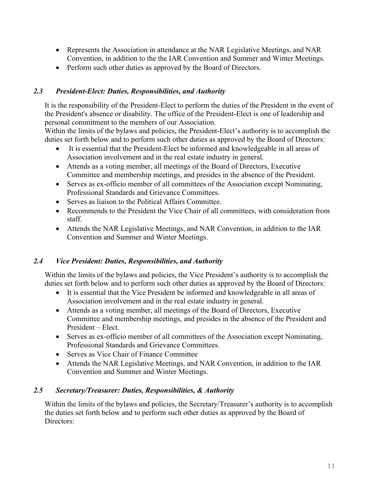- Represents the Association in attendance at the NAR Legislative Meetings, and NAR Convention, in addition to the the IAR Convention and Summer and Winter Meetings.
- Perform such other duties as approved by the Board of Directors.

## *2.3 President-Elect: Duties, Responsibilities, and Authority*

It is the responsibility of the President-Elect to perform the duties of the President in the event of the President's absence or disability. The office of the President-Elect is one of leadership and personal commitment to the members of our Association.

Within the limits of the bylaws and policies, the President-Elect's authority is to accomplish the duties set forth below and to perform such other duties as approved by the Board of Directors:

- It is essential that the President-Elect be informed and knowledgeable in all areas of Association involvement and in the real estate industry in general.
- Attends as a voting member, all meetings of the Board of Directors, Executive Committee and membership meetings, and presides in the absence of the President.
- Serves as ex-officio member of all committees of the Association except Nominating, Professional Standards and Grievance Committees.
- Serves as liaison to the Political Affairs Committee.
- Recommends to the President the Vice Chair of all committees, with consideration from staff.
- Attends the NAR Legislative Meetings, and NAR Convention, in addition to the IAR Convention and Summer and Winter Meetings.

## *2.4 Vice President: Duties, Responsibilities, and Authority*

Within the limits of the bylaws and policies, the Vice President's authority is to accomplish the duties set forth below and to perform such other duties as approved by the Board of Directors:

- It is essential that the Vice President be informed and knowledgeable in all areas of Association involvement and in the real estate industry in general.
- Attends as a voting member, all meetings of the Board of Directors, Executive Committee and membership meetings, and presides in the absence of the President and President – Elect.
- Serves as ex-officio member of all committees of the Association except Nominating, Professional Standards and Grievance Committees.
- Serves as Vice Chair of Finance Committee
- Attends the NAR Legislative Meetings, and NAR Convention, in addition to the IAR Convention and Summer and Winter Meetings.

## *2.5 Secretary/Treasurer: Duties, Responsibilities, & Authority*

Within the limits of the bylaws and policies, the Secretary/Treasurer's authority is to accomplish the duties set forth below and to perform such other duties as approved by the Board of Directors: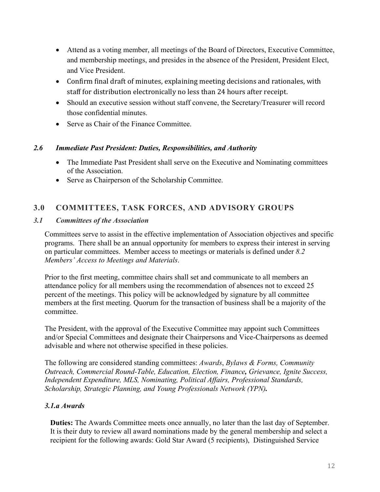- Attend as a voting member, all meetings of the Board of Directors, Executive Committee, and membership meetings, and presides in the absence of the President, President Elect, and Vice President.
- Confirm final draft of minutes, explaining meeting decisions and rationales, with staff for distribution electronically no less than 24 hours after receipt.
- Should an executive session without staff convene, the Secretary/Treasurer will record those confidential minutes.
- Serve as Chair of the Finance Committee.

## *2.6 Immediate Past President: Duties, Responsibilities, and Authority*

- The Immediate Past President shall serve on the Executive and Nominating committees of the Association.
- Serve as Chairperson of the Scholarship Committee.

# **3.0 COMMITTEES, TASK FORCES, AND ADVISORY GROUPS**

## *3.1 Committees of the Association*

Committees serve to assist in the effective implementation of Association objectives and specific programs. There shall be an annual opportunity for members to express their interest in serving on particular committees. Member access to meetings or materials is defined under *8.2 Members' Access to Meetings and Materials*.

Prior to the first meeting, committee chairs shall set and communicate to all members an attendance policy for all members using the recommendation of absences not to exceed 25 percent of the meetings. This policy will be acknowledged by signature by all committee members at the first meeting. Quorum for the transaction of business shall be a majority of the committee.

The President, with the approval of the Executive Committee may appoint such Committees and/or Special Committees and designate their Chairpersons and Vice-Chairpersons as deemed advisable and where not otherwise specified in these policies.

The following are considered standing committees: *Awards*, *Bylaws & Forms, Community Outreach, Commercial Round-Table, Education, Election, Finance, Grievance, Ignite Success, Independent Expenditure, MLS, Nominating, Political Affairs, Professional Standards, Scholarship, Strategic Planning, and Young Professionals Network (YPN).* 

## *3.1.a Awards*

**Duties:** The Awards Committee meets once annually, no later than the last day of September. It is their duty to review all award nominations made by the general membership and select a recipient for the following awards: Gold Star Award (5 recipients), Distinguished Service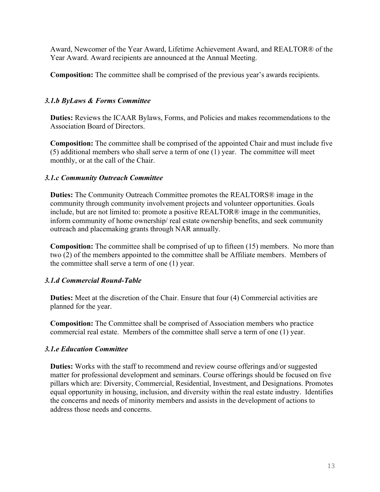Award, Newcomer of the Year Award, Lifetime Achievement Award, and REALTOR® of the Year Award. Award recipients are announced at the Annual Meeting.

**Composition:** The committee shall be comprised of the previous year's awards recipients.

## *3.1.b ByLaws & Forms Committee*

**Duties:** Reviews the ICAAR Bylaws, Forms, and Policies and makes recommendations to the Association Board of Directors.

**Composition:** The committee shall be comprised of the appointed Chair and must include five (5) additional members who shall serve a term of one (1) year. The committee will meet monthly, or at the call of the Chair.

#### *3.1.c Community Outreach Committee*

**Duties:** The Community Outreach Committee promotes the REALTORS® image in the community through community involvement projects and volunteer opportunities. Goals include, but are not limited to: promote a positive REALTOR® image in the communities, inform community of home ownership/ real estate ownership benefits, and seek community outreach and placemaking grants through NAR annually.

**Composition:** The committee shall be comprised of up to fifteen (15) members. No more than two (2) of the members appointed to the committee shall be Affiliate members. Members of the committee shall serve a term of one (1) year.

## *3.1.d Commercial Round-Table*

**Duties:** Meet at the discretion of the Chair. Ensure that four (4) Commercial activities are planned for the year.

**Composition:** The Committee shall be comprised of Association members who practice commercial real estate. Members of the committee shall serve a term of one (1) year.

#### *3.1.e Education Committee*

**Duties:** Works with the staff to recommend and review course offerings and/or suggested matter for professional development and seminars. Course offerings should be focused on five pillars which are: Diversity, Commercial, Residential, Investment, and Designations. Promotes equal opportunity in housing, inclusion, and diversity within the real estate industry. Identifies the concerns and needs of minority members and assists in the development of actions to address those needs and concerns.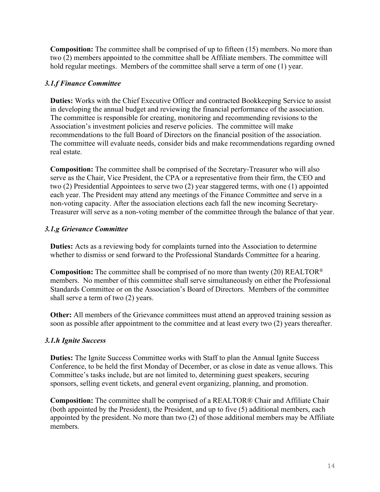**Composition:** The committee shall be comprised of up to fifteen (15) members. No more than two (2) members appointed to the committee shall be Affiliate members. The committee will hold regular meetings. Members of the committee shall serve a term of one (1) year.

## *3.1.f Finance Committee*

**Duties:** Works with the Chief Executive Officer and contracted Bookkeeping Service to assist in developing the annual budget and reviewing the financial performance of the association. The committee is responsible for creating, monitoring and recommending revisions to the Association's investment policies and reserve policies. The committee will make recommendations to the full Board of Directors on the financial position of the association. The committee will evaluate needs, consider bids and make recommendations regarding owned real estate.

**Composition:** The committee shall be comprised of the Secretary-Treasurer who will also serve as the Chair, Vice President, the CPA or a representative from their firm, the CEO and two (2) Presidential Appointees to serve two (2) year staggered terms, with one (1) appointed each year. The President may attend any meetings of the Finance Committee and serve in a non-voting capacity. After the association elections each fall the new incoming Secretary-Treasurer will serve as a non-voting member of the committee through the balance of that year.

## *3.1.g Grievance Committee*

**Duties:** Acts as a reviewing body for complaints turned into the Association to determine whether to dismiss or send forward to the Professional Standards Committee for a hearing.

**Composition:** The committee shall be comprised of no more than twenty (20) REALTOR® members. No member of this committee shall serve simultaneously on either the Professional Standards Committee or on the Association's Board of Directors. Members of the committee shall serve a term of two (2) years.

**Other:** All members of the Grievance committees must attend an approved training session as soon as possible after appointment to the committee and at least every two (2) years thereafter.

## *3.1.h Ignite Success*

**Duties:** The Ignite Success Committee works with Staff to plan the Annual Ignite Success Conference, to be held the first Monday of December, or as close in date as venue allows. This Committee's tasks include, but are not limited to, determining guest speakers, securing sponsors, selling event tickets, and general event organizing, planning, and promotion.

**Composition:** The committee shall be comprised of a REALTOR® Chair and Affiliate Chair (both appointed by the President), the President, and up to five (5) additional members, each appointed by the president. No more than two (2) of those additional members may be Affiliate members.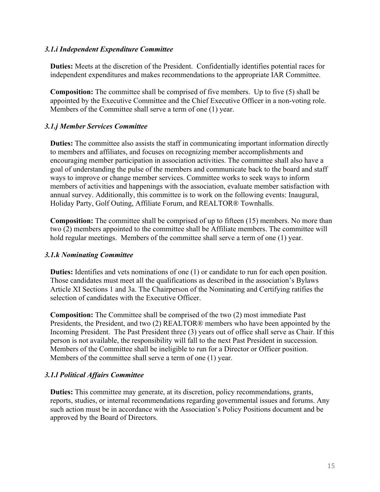#### *3.1.i Independent Expenditure Committee*

**Duties:** Meets at the discretion of the President. Confidentially identifies potential races for independent expenditures and makes recommendations to the appropriate IAR Committee.

**Composition:** The committee shall be comprised of five members. Up to five (5) shall be appointed by the Executive Committee and the Chief Executive Officer in a non-voting role. Members of the Committee shall serve a term of one (1) year.

## *3.1.j Member Services Committee*

**Duties:** The committee also assists the staff in communicating important information directly to members and affiliates, and focuses on recognizing member accomplishments and encouraging member participation in association activities. The committee shall also have a goal of understanding the pulse of the members and communicate back to the board and staff ways to improve or change member services. Committee works to seek ways to inform members of activities and happenings with the association, evaluate member satisfaction with annual survey. Additionally, this committee is to work on the following events: Inaugural, Holiday Party, Golf Outing, Affiliate Forum, and REALTOR® Townhalls.

**Composition:** The committee shall be comprised of up to fifteen (15) members. No more than two (2) members appointed to the committee shall be Affiliate members. The committee will hold regular meetings. Members of the committee shall serve a term of one (1) year.

## *3.1.k Nominating Committee*

**Duties:** Identifies and vets nominations of one (1) or candidate to run for each open position. Those candidates must meet all the qualifications as described in the association's Bylaws Article XI Sections 1 and 3a. The Chairperson of the Nominating and Certifying ratifies the selection of candidates with the Executive Officer.

**Composition:** The Committee shall be comprised of the two (2) most immediate Past Presidents, the President, and two (2) REALTOR® members who have been appointed by the Incoming President. The Past President three (3) years out of office shall serve as Chair. If this person is not available, the responsibility will fall to the next Past President in succession. Members of the Committee shall be ineligible to run for a Director or Officer position. Members of the committee shall serve a term of one (1) year.

## *3.1.l Political Affairs Committee*

**Duties:** This committee may generate, at its discretion, policy recommendations, grants, reports, studies, or internal recommendations regarding governmental issues and forums. Any such action must be in accordance with the Association's Policy Positions document and be approved by the Board of Directors.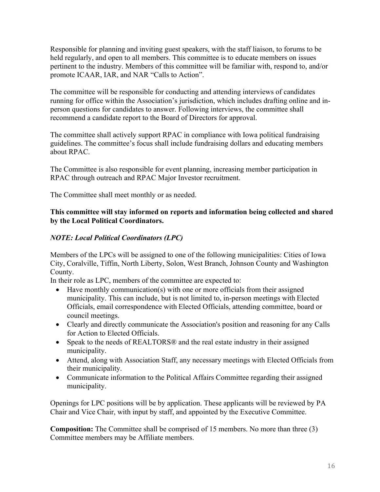Responsible for planning and inviting guest speakers, with the staff liaison, to forums to be held regularly, and open to all members. This committee is to educate members on issues pertinent to the industry. Members of this committee will be familiar with, respond to, and/or promote ICAAR, IAR, and NAR "Calls to Action".

The committee will be responsible for conducting and attending interviews of candidates running for office within the Association's jurisdiction, which includes drafting online and inperson questions for candidates to answer. Following interviews, the committee shall recommend a candidate report to the Board of Directors for approval.

The committee shall actively support RPAC in compliance with Iowa political fundraising guidelines. The committee's focus shall include fundraising dollars and educating members about RPAC.

The Committee is also responsible for event planning, increasing member participation in RPAC through outreach and RPAC Major Investor recruitment.

The Committee shall meet monthly or as needed.

## **This committee will stay informed on reports and information being collected and shared by the Local Political Coordinators.**

## *NOTE: Local Political Coordinators (LPC)*

Members of the LPCs will be assigned to one of the following municipalities: Cities of Iowa City, Coralville, Tiffin, North Liberty, Solon, West Branch, Johnson County and Washington County.

In their role as LPC, members of the committee are expected to:

- Have monthly communication(s) with one or more officials from their assigned municipality. This can include, but is not limited to, in-person meetings with Elected Officials, email correspondence with Elected Officials, attending committee, board or council meetings.
- Clearly and directly communicate the Association's position and reasoning for any Calls for Action to Elected Officials.
- Speak to the needs of REALTORS<sup>®</sup> and the real estate industry in their assigned municipality.
- Attend, along with Association Staff, any necessary meetings with Elected Officials from their municipality.
- Communicate information to the Political Affairs Committee regarding their assigned municipality.

Openings for LPC positions will be by application. These applicants will be reviewed by PA Chair and Vice Chair, with input by staff, and appointed by the Executive Committee.

**Composition:** The Committee shall be comprised of 15 members. No more than three (3) Committee members may be Affiliate members.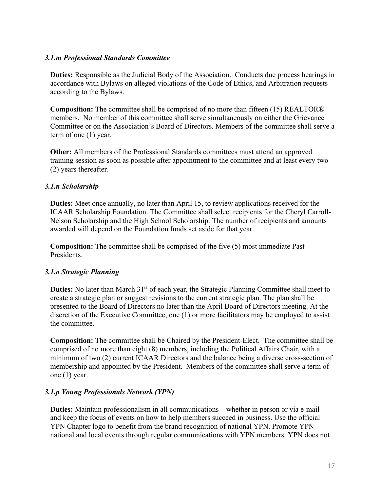#### *3.1.m Professional Standards Committee*

**Duties:** Responsible as the Judicial Body of the Association. Conducts due process hearings in accordance with Bylaws on alleged violations of the Code of Ethics, and Arbitration requests according to the Bylaws.

**Composition:** The committee shall be comprised of no more than fifteen (15) REALTOR® members. No member of this committee shall serve simultaneously on either the Grievance Committee or on the Association's Board of Directors. Members of the committee shall serve a term of one (1) year.

**Other:** All members of the Professional Standards committees must attend an approved training session as soon as possible after appointment to the committee and at least every two (2) years thereafter.

#### *3.1.n Scholarship*

**Duties:** Meet once annually, no later than April 15, to review applications received for the ICAAR Scholarship Foundation. The Committee shall select recipients for the Cheryl Carroll-Nelson Scholarship and the High School Scholarship. The number of recipients and amounts awarded will depend on the Foundation funds set aside for that year.

**Composition:** The committee shall be comprised of the five (5) most immediate Past Presidents.

## *3.1.o Strategic Planning*

**Duties:** No later than March 31<sup>st</sup> of each year, the Strategic Planning Committee shall meet to create a strategic plan or suggest revisions to the current strategic plan. The plan shall be presented to the Board of Directors no later than the April Board of Directors meeting. At the discretion of the Executive Committee, one (1) or more facilitators may be employed to assist the committee.

**Composition:** The committee shall be Chaired by the President-Elect. The committee shall be comprised of no more than eight (8) members, including the Political Affairs Chair, with a minimum of two (2) current ICAAR Directors and the balance being a diverse cross-section of membership and appointed by the President. Members of the committee shall serve a term of one (1) year.

## *3.1.p Young Professionals Network (YPN)*

**Duties:** Maintain professionalism in all communications—whether in person or via e-mail and keep the focus of events on how to help members succeed in business. Use the official YPN Chapter logo to benefit from the brand recognition of national YPN. Promote YPN national and local events through regular communications with YPN members. YPN does not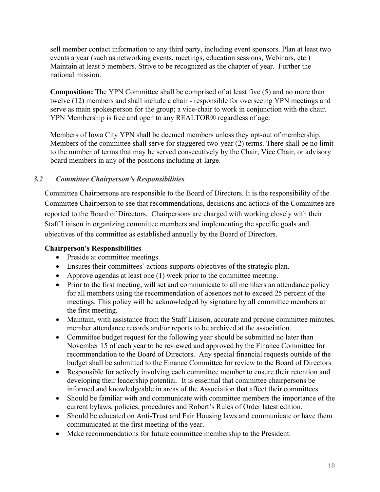sell member contact information to any third party, including event sponsors. Plan at least two events a year (such as networking events, meetings, education sessions, Webinars, etc.) Maintain at least 5 members. Strive to be recognized as the chapter of year. Further the national mission.

**Composition:** The YPN Committee shall be comprised of at least five (5) and no more than twelve (12) members and shall include a chair - responsible for overseeing YPN meetings and serve as main spokesperson for the group; a vice-chair to work in conjunction with the chair. YPN Membership is free and open to any REALTOR® regardless of age.

Members of Iowa City YPN shall be deemed members unless they opt-out of membership. Members of the committee shall serve for staggered two-year (2) terms. There shall be no limit to the number of terms that may be served consecutively by the Chair, Vice Chair, or advisory board members in any of the positions including at-large.

## *3.2 Committee Chairperson's Responsibilities*

Committee Chairpersons are responsible to the Board of Directors. It is the responsibility of the Committee Chairperson to see that recommendations, decisions and actions of the Committee are reported to the Board of Directors. Chairpersons are charged with working closely with their Staff Liaison in organizing committee members and implementing the specific goals and objectives of the committee as established annually by the Board of Directors.

## **Chairperson's Responsibilities**

- Preside at committee meetings.
- Ensures their committees' actions supports objectives of the strategic plan.
- Approve agendas at least one (1) week prior to the committee meeting.
- Prior to the first meeting, will set and communicate to all members an attendance policy for all members using the recommendation of absences not to exceed 25 percent of the meetings. This policy will be acknowledged by signature by all committee members at the first meeting.
- Maintain, with assistance from the Staff Liaison, accurate and precise committee minutes, member attendance records and/or reports to be archived at the association.
- Committee budget request for the following year should be submitted no later than November 15 of each year to be reviewed and approved by the Finance Committee for recommendation to the Board of Directors. Any special financial requests outside of the budget shall be submitted to the Finance Committee for review to the Board of Directors
- Responsible for actively involving each committee member to ensure their retention and developing their leadership potential. It is essential that committee chairpersons be informed and knowledgeable in areas of the Association that affect their committees.
- Should be familiar with and communicate with committee members the importance of the current bylaws, policies, procedures and Robert's Rules of Order latest edition.
- Should be educated on Anti-Trust and Fair Housing laws and communicate or have them communicated at the first meeting of the year.
- Make recommendations for future committee membership to the President.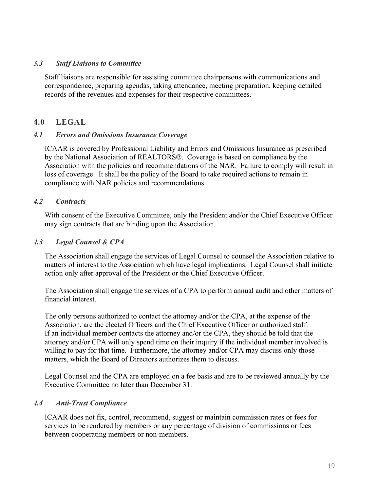#### *3.3 Staff Liaisons to Committee*

Staff liaisons are responsible for assisting committee chairpersons with communications and correspondence, preparing agendas, taking attendance, meeting preparation, keeping detailed records of the revenues and expenses for their respective committees.

## **4.0 LEGAL**

#### *4.1 Errors and Omissions Insurance Coverage*

ICAAR is covered by Professional Liability and Errors and Omissions Insurance as prescribed by the National Association of REALTORS®. Coverage is based on compliance by the Association with the policies and recommendations of the NAR. Failure to comply will result in loss of coverage. It shall be the policy of the Board to take required actions to remain in compliance with NAR policies and recommendations.

#### *4.2 Contracts*

With consent of the Executive Committee, only the President and/or the Chief Executive Officer may sign contracts that are binding upon the Association.

#### *4.3 Legal Counsel & CPA*

The Association shall engage the services of Legal Counsel to counsel the Association relative to matters of interest to the Association which have legal implications. Legal Counsel shall initiate action only after approval of the President or the Chief Executive Officer.

The Association shall engage the services of a CPA to perform annual audit and other matters of financial interest.

The only persons authorized to contact the attorney and/or the CPA, at the expense of the Association, are the elected Officers and the Chief Executive Officer or authorized staff. If an individual member contacts the attorney and/or the CPA, they should be told that the attorney and/or CPA will only spend time on their inquiry if the individual member involved is willing to pay for that time. Furthermore, the attorney and/or CPA may discuss only those matters, which the Board of Directors authorizes them to discuss.

Legal Counsel and the CPA are employed on a fee basis and are to be reviewed annually by the Executive Committee no later than December 31.

## *4.4 Anti-Trust Compliance*

ICAAR does not fix, control, recommend, suggest or maintain commission rates or fees for services to be rendered by members or any percentage of division of commissions or fees between cooperating members or non-members.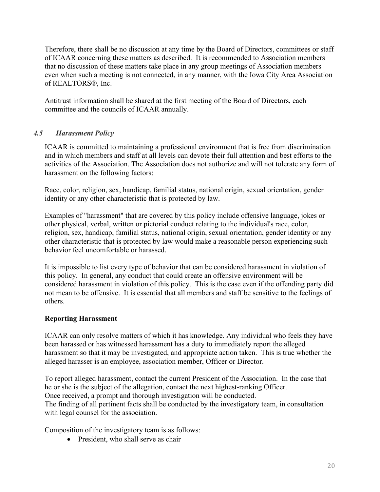Therefore, there shall be no discussion at any time by the Board of Directors, committees or staff of ICAAR concerning these matters as described. It is recommended to Association members that no discussion of these matters take place in any group meetings of Association members even when such a meeting is not connected, in any manner, with the Iowa City Area Association of REALTORS®, Inc.

Antitrust information shall be shared at the first meeting of the Board of Directors, each committee and the councils of ICAAR annually.

## *4.5 Harassment Policy*

ICAAR is committed to maintaining a professional environment that is free from discrimination and in which members and staff at all levels can devote their full attention and best efforts to the activities of the Association. The Association does not authorize and will not tolerate any form of harassment on the following factors:

Race, color, religion, sex, handicap, familial status, national origin, sexual orientation, gender identity or any other characteristic that is protected by law.

Examples of "harassment" that are covered by this policy include offensive language, jokes or other physical, verbal, written or pictorial conduct relating to the individual's race, color, religion, sex, handicap, familial status, national origin, sexual orientation, gender identity or any other characteristic that is protected by law would make a reasonable person experiencing such behavior feel uncomfortable or harassed.

It is impossible to list every type of behavior that can be considered harassment in violation of this policy. In general, any conduct that could create an offensive environment will be considered harassment in violation of this policy. This is the case even if the offending party did not mean to be offensive. It is essential that all members and staff be sensitive to the feelings of others.

## **Reporting Harassment**

ICAAR can only resolve matters of which it has knowledge. Any individual who feels they have been harassed or has witnessed harassment has a duty to immediately report the alleged harassment so that it may be investigated, and appropriate action taken. This is true whether the alleged harasser is an employee, association member, Officer or Director.

To report alleged harassment, contact the current President of the Association. In the case that he or she is the subject of the allegation, contact the next highest-ranking Officer. Once received, a prompt and thorough investigation will be conducted.

The finding of all pertinent facts shall be conducted by the investigatory team, in consultation with legal counsel for the association.

Composition of the investigatory team is as follows:

• President, who shall serve as chair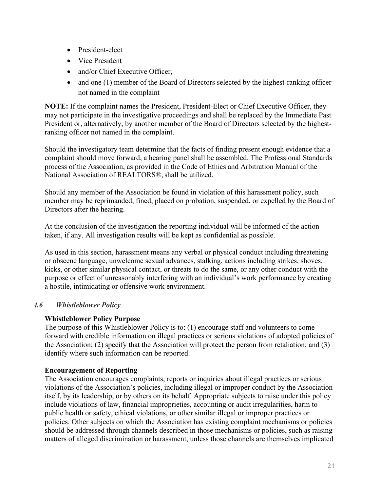- President-elect
- Vice President
- and/or Chief Executive Officer,
- and one (1) member of the Board of Directors selected by the highest-ranking officer not named in the complaint

**NOTE:** If the complaint names the President, President-Elect or Chief Executive Officer, they may not participate in the investigative proceedings and shall be replaced by the Immediate Past President or, alternatively, by another member of the Board of Directors selected by the highestranking officer not named in the complaint.

Should the investigatory team determine that the facts of finding present enough evidence that a complaint should move forward, a hearing panel shall be assembled. The Professional Standards process of the Association, as provided in the Code of Ethics and Arbitration Manual of the National Association of REALTORS®, shall be utilized.

Should any member of the Association be found in violation of this harassment policy, such member may be reprimanded, fined, placed on probation, suspended, or expelled by the Board of Directors after the hearing.

At the conclusion of the investigation the reporting individual will be informed of the action taken, if any. All investigation results will be kept as confidential as possible.

As used in this section, harassment means any verbal or physical conduct including threatening or obscene language, unwelcome sexual advances, stalking, actions including strikes, shoves, kicks, or other similar physical contact, or threats to do the same, or any other conduct with the purpose or effect of unreasonably interfering with an individual's work performance by creating a hostile, intimidating or offensive work environment.

## *4.6 Whistleblower Policy*

## **Whistleblower Policy Purpose**

The purpose of this Whistleblower Policy is to: (1) encourage staff and volunteers to come forward with credible information on illegal practices or serious violations of adopted policies of the Association; (2) specify that the Association will protect the person from retaliation; and (3) identify where such information can be reported.

## **Encouragement of Reporting**

The Association encourages complaints, reports or inquiries about illegal practices or serious violations of the Association's policies, including illegal or improper conduct by the Association itself, by its leadership, or by others on its behalf. Appropriate subjects to raise under this policy include violations of law, financial improprieties, accounting or audit irregularities, harm to public health or safety, ethical violations, or other similar illegal or improper practices or policies. Other subjects on which the Association has existing complaint mechanisms or policies should be addressed through channels described in those mechanisms or policies, such as raising matters of alleged discrimination or harassment, unless those channels are themselves implicated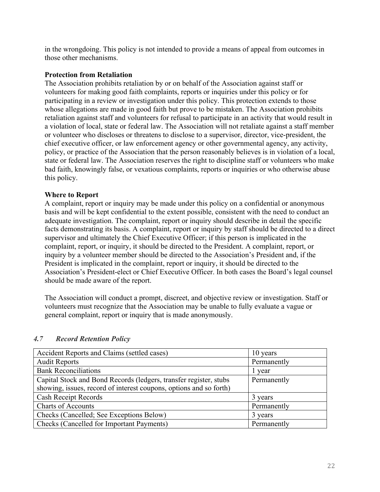in the wrongdoing. This policy is not intended to provide a means of appeal from outcomes in those other mechanisms.

#### **Protection from Retaliation**

The Association prohibits retaliation by or on behalf of the Association against staff or volunteers for making good faith complaints, reports or inquiries under this policy or for participating in a review or investigation under this policy. This protection extends to those whose allegations are made in good faith but prove to be mistaken. The Association prohibits retaliation against staff and volunteers for refusal to participate in an activity that would result in a violation of local, state or federal law. The Association will not retaliate against a staff member or volunteer who discloses or threatens to disclose to a supervisor, director, vice-president, the chief executive officer, or law enforcement agency or other governmental agency, any activity, policy, or practice of the Association that the person reasonably believes is in violation of a local, state or federal law. The Association reserves the right to discipline staff or volunteers who make bad faith, knowingly false, or vexatious complaints, reports or inquiries or who otherwise abuse this policy.

## **Where to Report**

A complaint, report or inquiry may be made under this policy on a confidential or anonymous basis and will be kept confidential to the extent possible, consistent with the need to conduct an adequate investigation. The complaint, report or inquiry should describe in detail the specific facts demonstrating its basis. A complaint, report or inquiry by staff should be directed to a direct supervisor and ultimately the Chief Executive Officer; if this person is implicated in the complaint, report, or inquiry, it should be directed to the President. A complaint, report, or inquiry by a volunteer member should be directed to the Association's President and, if the President is implicated in the complaint, report or inquiry, it should be directed to the Association's President-elect or Chief Executive Officer. In both cases the Board's legal counsel should be made aware of the report.

The Association will conduct a prompt, discreet, and objective review or investigation. Staff or volunteers must recognize that the Association may be unable to fully evaluate a vague or general complaint, report or inquiry that is made anonymously.

| Accident Reports and Claims (settled cases)                        | 10 years    |
|--------------------------------------------------------------------|-------------|
| <b>Audit Reports</b>                                               | Permanently |
| <b>Bank Reconciliations</b>                                        | l year      |
| Capital Stock and Bond Records (ledgers, transfer register, stubs  | Permanently |
| showing, issues, record of interest coupons, options and so forth) |             |
| Cash Receipt Records                                               | 3 years     |
| <b>Charts of Accounts</b>                                          | Permanently |
| Checks (Cancelled; See Exceptions Below)                           | 3 years     |
| Checks (Cancelled for Important Payments)                          | Permanently |

## *4.7 Record Retention Policy*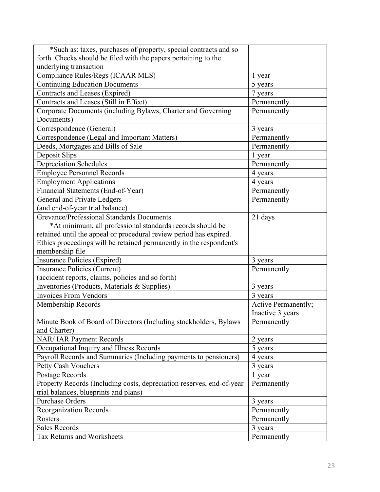| *Such as: taxes, purchases of property, special contracts and so      |                     |
|-----------------------------------------------------------------------|---------------------|
| forth. Checks should be filed with the papers pertaining to the       |                     |
| underlying transaction                                                |                     |
| Compliance Rules/Regs (ICAAR MLS)                                     | 1 year              |
| <b>Continuing Education Documents</b>                                 | 5 years             |
| Contracts and Leases (Expired)                                        | 7 years             |
| Contracts and Leases (Still in Effect)                                | Permanently         |
| Corporate Documents (including Bylaws, Charter and Governing          | Permanently         |
| Documents)                                                            |                     |
| Correspondence (General)                                              | 3 years             |
| Correspondence (Legal and Important Matters)                          | Permanently         |
| Deeds, Mortgages and Bills of Sale                                    | Permanently         |
| Deposit Slips                                                         | 1 year              |
| <b>Depreciation Schedules</b>                                         | Permanently         |
| <b>Employee Personnel Records</b>                                     | 4 years             |
| <b>Employment Applications</b>                                        | 4 years             |
| Financial Statements (End-of-Year)                                    | Permanently         |
| <b>General and Private Ledgers</b>                                    | Permanently         |
| (and end-of-year trial balance)                                       |                     |
| Grevance/Professional Standards Documents                             | 21 days             |
| *At minimum, all professional standards records should be             |                     |
| retained until the appeal or procedural review period has expired.    |                     |
| Ethics proceedings will be retained permanently in the respondent's   |                     |
| membership file                                                       |                     |
| <b>Insurance Policies (Expired)</b>                                   | 3 years             |
| <b>Insurance Policies (Current)</b>                                   | Permanently         |
| (accident reports, claims, policies and so forth)                     |                     |
| Inventories (Products, Materials & Supplies)                          | 3 years             |
| <b>Invoices From Vendors</b>                                          | 3 years             |
|                                                                       |                     |
| Membership Records                                                    | Active Permanently; |
|                                                                       | Inactive 3 years    |
| Minute Book of Board of Directors (Including stockholders, Bylaws     | Permanently         |
| and Charter)                                                          |                     |
| NAR/ IAR Payment Records                                              | 2 years             |
| Occupational Inquiry and Illness Records                              | 5 years             |
| Payroll Records and Summaries (Including payments to pensioners)      | 4 years             |
| Petty Cash Vouchers                                                   | 3 years             |
| Postage Records                                                       | 1 year              |
| Property Records (Including costs, depreciation reserves, end-of-year | Permanently         |
| trial balances, blueprints and plans)                                 |                     |
| <b>Purchase Orders</b>                                                | 3 years             |
| <b>Reorganization Records</b>                                         | Permanently         |
| Rosters                                                               | Permanently         |
| <b>Sales Records</b>                                                  | 3 years             |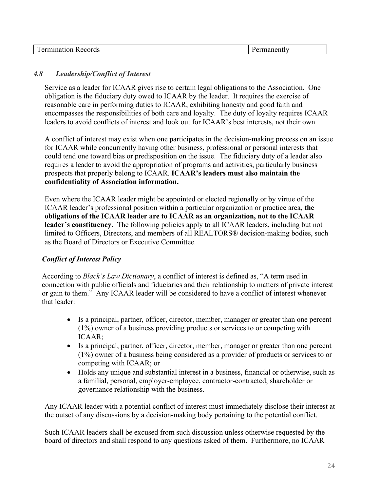| -----<br>$\sim$ 40.<br>. no di c<br>.<br>us.<br>.<br>. |  |
|--------------------------------------------------------|--|
|--------------------------------------------------------|--|

## *4.8 Leadership/Conflict of Interest*

Service as a leader for ICAAR gives rise to certain legal obligations to the Association. One obligation is the fiduciary duty owed to ICAAR by the leader. It requires the exercise of reasonable care in performing duties to ICAAR, exhibiting honesty and good faith and encompasses the responsibilities of both care and loyalty. The duty of loyalty requires ICAAR leaders to avoid conflicts of interest and look out for ICAAR's best interests, not their own.

A conflict of interest may exist when one participates in the decision-making process on an issue for ICAAR while concurrently having other business, professional or personal interests that could tend one toward bias or predisposition on the issue. The fiduciary duty of a leader also requires a leader to avoid the appropriation of programs and activities, particularly business prospects that properly belong to ICAAR. **ICAAR's leaders must also maintain the confidentiality of Association information.**

Even where the ICAAR leader might be appointed or elected regionally or by virtue of the ICAAR leader's professional position within a particular organization or practice area, **the obligations of the ICAAR leader are to ICAAR as an organization, not to the ICAAR leader's constituency.** The following policies apply to all ICAAR leaders, including but not limited to Officers, Directors, and members of all REALTORS® decision-making bodies, such as the Board of Directors or Executive Committee.

## *Conflict of Interest Policy*

According to *Black's Law Dictionary*, a conflict of interest is defined as, "A term used in connection with public officials and fiduciaries and their relationship to matters of private interest or gain to them." Any ICAAR leader will be considered to have a conflict of interest whenever that leader:

- Is a principal, partner, officer, director, member, manager or greater than one percent (1%) owner of a business providing products or services to or competing with ICAAR;
- Is a principal, partner, officer, director, member, manager or greater than one percent (1%) owner of a business being considered as a provider of products or services to or competing with ICAAR; or
- Holds any unique and substantial interest in a business, financial or otherwise, such as a familial, personal, employer-employee, contractor-contracted, shareholder or governance relationship with the business.

Any ICAAR leader with a potential conflict of interest must immediately disclose their interest at the outset of any discussions by a decision-making body pertaining to the potential conflict.

Such ICAAR leaders shall be excused from such discussion unless otherwise requested by the board of directors and shall respond to any questions asked of them. Furthermore, no ICAAR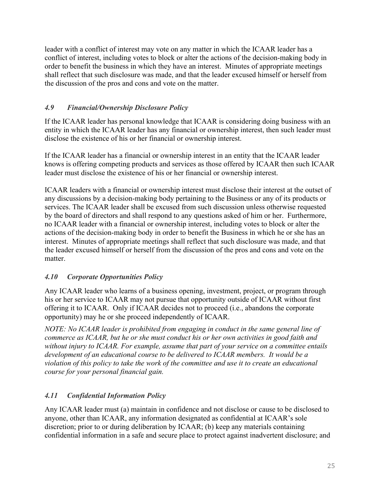leader with a conflict of interest may vote on any matter in which the ICAAR leader has a conflict of interest, including votes to block or alter the actions of the decision-making body in order to benefit the business in which they have an interest. Minutes of appropriate meetings shall reflect that such disclosure was made, and that the leader excused himself or herself from the discussion of the pros and cons and vote on the matter.

## *4.9 Financial/Ownership Disclosure Policy*

If the ICAAR leader has personal knowledge that ICAAR is considering doing business with an entity in which the ICAAR leader has any financial or ownership interest, then such leader must disclose the existence of his or her financial or ownership interest.

If the ICAAR leader has a financial or ownership interest in an entity that the ICAAR leader knows is offering competing products and services as those offered by ICAAR then such ICAAR leader must disclose the existence of his or her financial or ownership interest.

ICAAR leaders with a financial or ownership interest must disclose their interest at the outset of any discussions by a decision-making body pertaining to the Business or any of its products or services. The ICAAR leader shall be excused from such discussion unless otherwise requested by the board of directors and shall respond to any questions asked of him or her. Furthermore, no ICAAR leader with a financial or ownership interest, including votes to block or alter the actions of the decision-making body in order to benefit the Business in which he or she has an interest. Minutes of appropriate meetings shall reflect that such disclosure was made, and that the leader excused himself or herself from the discussion of the pros and cons and vote on the matter.

## *4.10 Corporate Opportunities Policy*

Any ICAAR leader who learns of a business opening, investment, project, or program through his or her service to ICAAR may not pursue that opportunity outside of ICAAR without first offering it to ICAAR. Only if ICAAR decides not to proceed (i.e., abandons the corporate opportunity) may he or she proceed independently of ICAAR.

*NOTE: No ICAAR leader is prohibited from engaging in conduct in the same general line of commerce as ICAAR, but he or she must conduct his or her own activities in good faith and without injury to ICAAR. For example, assume that part of your service on a committee entails development of an educational course to be delivered to ICAAR members. It would be a violation of this policy to take the work of the committee and use it to create an educational course for your personal financial gain.*

## *4.11 Confidential Information Policy*

Any ICAAR leader must (a) maintain in confidence and not disclose or cause to be disclosed to anyone, other than ICAAR, any information designated as confidential at ICAAR's sole discretion; prior to or during deliberation by ICAAR; (b) keep any materials containing confidential information in a safe and secure place to protect against inadvertent disclosure; and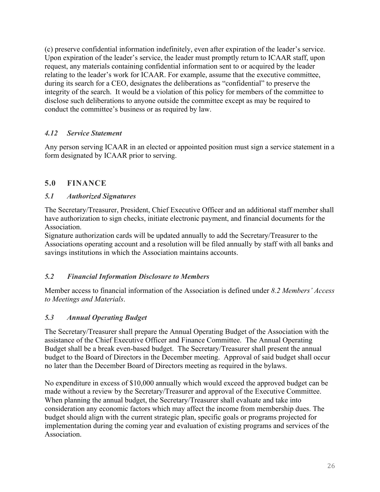(c) preserve confidential information indefinitely, even after expiration of the leader's service. Upon expiration of the leader's service, the leader must promptly return to ICAAR staff, upon request, any materials containing confidential information sent to or acquired by the leader relating to the leader's work for ICAAR. For example, assume that the executive committee, during its search for a CEO, designates the deliberations as "confidential" to preserve the integrity of the search. It would be a violation of this policy for members of the committee to disclose such deliberations to anyone outside the committee except as may be required to conduct the committee's business or as required by law.

## *4.12 Service Statement*

Any person serving ICAAR in an elected or appointed position must sign a service statement in a form designated by ICAAR prior to serving.

## **5.0 FINANCE**

## *5.1 Authorized Signatures*

The Secretary/Treasurer, President, Chief Executive Officer and an additional staff member shall have authorization to sign checks, initiate electronic payment, and financial documents for the Association.

Signature authorization cards will be updated annually to add the Secretary/Treasurer to the Associations operating account and a resolution will be filed annually by staff with all banks and savings institutions in which the Association maintains accounts.

## *5.2 Financial Information Disclosure to Members*

Member access to financial information of the Association is defined under *8.2 Members' Access to Meetings and Materials*.

## *5.3 Annual Operating Budget*

The Secretary/Treasurer shall prepare the Annual Operating Budget of the Association with the assistance of the Chief Executive Officer and Finance Committee. The Annual Operating Budget shall be a break even-based budget. The Secretary/Treasurer shall present the annual budget to the Board of Directors in the December meeting. Approval of said budget shall occur no later than the December Board of Directors meeting as required in the bylaws.

No expenditure in excess of \$10,000 annually which would exceed the approved budget can be made without a review by the Secretary/Treasurer and approval of the Executive Committee. When planning the annual budget, the Secretary/Treasurer shall evaluate and take into consideration any economic factors which may affect the income from membership dues. The budget should align with the current strategic plan, specific goals or programs projected for implementation during the coming year and evaluation of existing programs and services of the Association.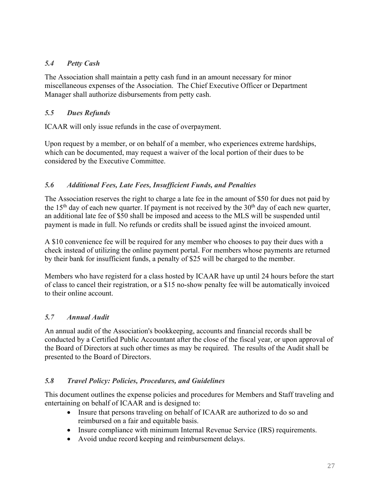## *5.4 Petty Cash*

The Association shall maintain a petty cash fund in an amount necessary for minor miscellaneous expenses of the Association. The Chief Executive Officer or Department Manager shall authorize disbursements from petty cash.

## *5.5 Dues Refunds*

ICAAR will only issue refunds in the case of overpayment.

Upon request by a member, or on behalf of a member, who experiences extreme hardships, which can be documented, may request a waiver of the local portion of their dues to be considered by the Executive Committee.

## *5.6 Additional Fees, Late Fees, Insufficient Funds, and Penalties*

The Association reserves the right to charge a late fee in the amount of \$50 for dues not paid by the 15<sup>th</sup> day of each new quarter. If payment is not received by the  $30<sup>th</sup>$  day of each new quarter, an additional late fee of \$50 shall be imposed and aceess to the MLS will be suspended until payment is made in full. No refunds or credits shall be issued aginst the invoiced amount.

A \$10 convenience fee will be required for any member who chooses to pay their dues with a check instead of utilizing the online payment portal. For members whose payments are returned by their bank for insufficient funds, a penalty of \$25 will be charged to the member.

Members who have registerd for a class hosted by ICAAR have up until 24 hours before the start of class to cancel their registration, or a \$15 no-show penalty fee will be automatically invoiced to their online account.

## *5.7 Annual Audit*

An annual audit of the Association's bookkeeping, accounts and financial records shall be conducted by a Certified Public Accountant after the close of the fiscal year, or upon approval of the Board of Directors at such other times as may be required. The results of the Audit shall be presented to the Board of Directors.

## *5.8 Travel Policy: Policies, Procedures, and Guidelines*

This document outlines the expense policies and procedures for Members and Staff traveling and entertaining on behalf of ICAAR and is designed to:

- Insure that persons traveling on behalf of ICAAR are authorized to do so and reimbursed on a fair and equitable basis.
- Insure compliance with minimum Internal Revenue Service (IRS) requirements.
- Avoid undue record keeping and reimbursement delays.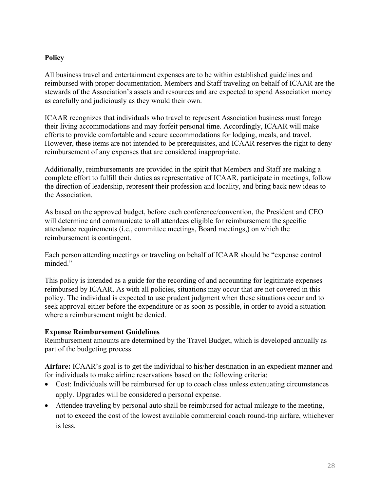## **Policy**

All business travel and entertainment expenses are to be within established guidelines and reimbursed with proper documentation. Members and Staff traveling on behalf of ICAAR are the stewards of the Association's assets and resources and are expected to spend Association money as carefully and judiciously as they would their own.

ICAAR recognizes that individuals who travel to represent Association business must forego their living accommodations and may forfeit personal time. Accordingly, ICAAR will make efforts to provide comfortable and secure accommodations for lodging, meals, and travel. However, these items are not intended to be prerequisites, and ICAAR reserves the right to deny reimbursement of any expenses that are considered inappropriate.

Additionally, reimbursements are provided in the spirit that Members and Staff are making a complete effort to fulfill their duties as representative of ICAAR, participate in meetings, follow the direction of leadership, represent their profession and locality, and bring back new ideas to the Association.

As based on the approved budget, before each conference/convention, the President and CEO will determine and communicate to all attendees eligible for reimbursement the specific attendance requirements (i.e., committee meetings, Board meetings,) on which the reimbursement is contingent.

Each person attending meetings or traveling on behalf of ICAAR should be "expense control minded."

This policy is intended as a guide for the recording of and accounting for legitimate expenses reimbursed by ICAAR. As with all policies, situations may occur that are not covered in this policy. The individual is expected to use prudent judgment when these situations occur and to seek approval either before the expenditure or as soon as possible, in order to avoid a situation where a reimbursement might be denied.

## **Expense Reimbursement Guidelines**

Reimbursement amounts are determined by the Travel Budget, which is developed annually as part of the budgeting process.

**Airfare:** ICAAR's goal is to get the individual to his/her destination in an expedient manner and for individuals to make airline reservations based on the following criteria:

- Cost: Individuals will be reimbursed for up to coach class unless extenuating circumstances apply. Upgrades will be considered a personal expense.
- Attendee traveling by personal auto shall be reimbursed for actual mileage to the meeting, not to exceed the cost of the lowest available commercial coach round-trip airfare, whichever is less.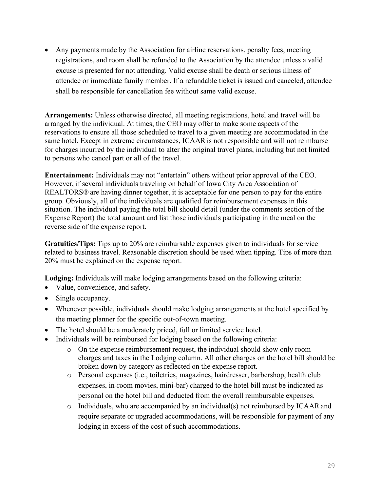• Any payments made by the Association for airline reservations, penalty fees, meeting registrations, and room shall be refunded to the Association by the attendee unless a valid excuse is presented for not attending. Valid excuse shall be death or serious illness of attendee or immediate family member. If a refundable ticket is issued and canceled, attendee shall be responsible for cancellation fee without same valid excuse.

**Arrangements:** Unless otherwise directed, all meeting registrations, hotel and travel will be arranged by the individual. At times, the CEO may offer to make some aspects of the reservations to ensure all those scheduled to travel to a given meeting are accommodated in the same hotel. Except in extreme circumstances, ICAARis not responsible and will not reimburse for charges incurred by the individual to alter the original travel plans, including but not limited to persons who cancel part or all of the travel.

**Entertainment:** Individuals may not "entertain" others without prior approval of the CEO. However, if several individuals traveling on behalf of Iowa City Area Association of REALTORS® are having dinner together, it is acceptable for one person to pay for the entire group. Obviously, all of the individuals are qualified for reimbursement expenses in this situation. The individual paying the total bill should detail (under the comments section of the Expense Report) the total amount and list those individuals participating in the meal on the reverse side of the expense report.

**Gratuities/Tips:** Tips up to 20% are reimbursable expenses given to individuals for service related to business travel. Reasonable discretion should be used when tipping. Tips of more than 20% must be explained on the expense report.

**Lodging:** Individuals will make lodging arrangements based on the following criteria:

- Value, convenience, and safety.
- Single occupancy.
- Whenever possible, individuals should make lodging arrangements at the hotel specified by the meeting planner for the specific out-of-town meeting.
- The hotel should be a moderately priced, full or limited service hotel.
- Individuals will be reimbursed for lodging based on the following criteria:
	- $\circ$  On the expense reimbursement request, the individual should show only room charges and taxes in the Lodging column. All other charges on the hotel bill should be broken down by category as reflected on the expense report.
	- o Personal expenses (i.e., toiletries, magazines, hairdresser, barbershop, health club expenses, in-room movies, mini-bar) charged to the hotel bill must be indicated as personal on the hotel bill and deducted from the overall reimbursable expenses.
	- o Individuals, who are accompanied by an individual(s) not reimbursed by ICAARand require separate or upgraded accommodations, will be responsible for payment of any lodging in excess of the cost of such accommodations.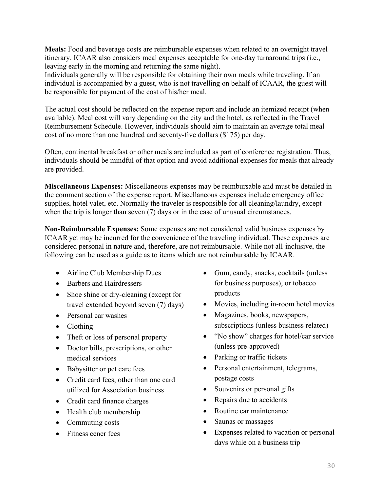**Meals:** Food and beverage costs are reimbursable expenses when related to an overnight travel itinerary. ICAAR also considers meal expenses acceptable for one-day turnaround trips (i.e., leaving early in the morning and returning the same night).

Individuals generally will be responsible for obtaining their own meals while traveling. If an individual is accompanied by a guest, who is not travelling on behalf of ICAAR, the guest will be responsible for payment of the cost of his/her meal.

The actual cost should be reflected on the expense report and include an itemized receipt (when available). Meal cost will vary depending on the city and the hotel, as reflected in the Travel Reimbursement Schedule. However, individuals should aim to maintain an average total meal cost of no more than one hundred and seventy-five dollars (\$175) per day.

Often, continental breakfast or other meals are included as part of conference registration. Thus, individuals should be mindful of that option and avoid additional expenses for meals that already are provided.

**Miscellaneous Expenses:** Miscellaneous expenses may be reimbursable and must be detailed in the comment section of the expense report. Miscellaneous expenses include emergency office supplies, hotel valet, etc. Normally the traveler is responsible for all cleaning/laundry, except when the trip is longer than seven (7) days or in the case of unusual circumstances.

**Non-Reimbursable Expenses:** Some expenses are not considered valid business expenses by ICAARyet may be incurred for the convenience of the traveling individual. These expenses are considered personal in nature and, therefore, are not reimbursable. While not all-inclusive, the following can be used as a guide as to items which are not reimbursable by ICAAR.

- Airline Club Membership Dues
- Barbers and Hairdressers
- Shoe shine or dry-cleaning (except for travel extended beyond seven (7) days)
- Personal car washes
- Clothing
- Theft or loss of personal property
- Doctor bills, prescriptions, or other medical services
- Babysitter or pet care fees
- Credit card fees, other than one card utilized for Association business
- Credit card finance charges
- Health club membership
- Commuting costs
- Fitness cener fees
- Gum, candy, snacks, cocktails (unless for business purposes), or tobacco products
- Movies, including in-room hotel movies
- Magazines, books, newspapers, subscriptions (unless business related)
- "No show" charges for hotel/car service (unless pre-approved)
- Parking or traffic tickets
- Personal entertainment, telegrams, postage costs
- Souvenirs or personal gifts
- Repairs due to accidents
- Routine car maintenance
- Saunas or massages
- Expenses related to vacation or personal days while on a business trip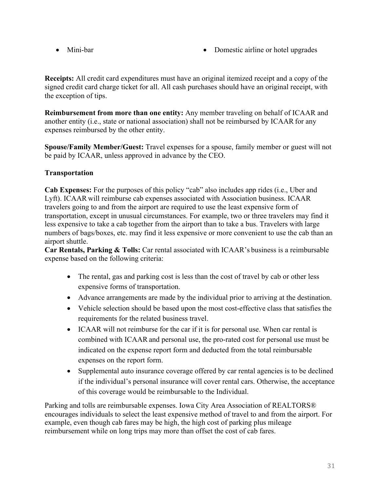- 
- Mini-bar Domestic airline or hotel upgrades

**Receipts:** All credit card expenditures must have an original itemized receipt and a copy of the signed credit card charge ticket for all. All cash purchases should have an original receipt, with the exception of tips.

**Reimbursement from more than one entity:** Any member traveling on behalf of ICAAR and another entity (i.e., state or national association) shall not be reimbursed by ICAAR for any expenses reimbursed by the other entity.

**Spouse/Family Member/Guest:** Travel expenses for a spouse, family member or guest will not be paid by ICAAR, unless approved in advance by the CEO.

## **Transportation**

**Cab Expenses:** For the purposes of this policy "cab" also includes app rides (i.e., Uber and Lyft). ICAAR will reimburse cab expenses associated with Association business. ICAAR travelers going to and from the airport are required to use the least expensive form of transportation, except in unusual circumstances. For example, two or three travelers may find it less expensive to take a cab together from the airport than to take a bus. Travelers with large numbers of bags/boxes, etc. may find it less expensive or more convenient to use the cab than an airport shuttle.

**Car Rentals, Parking & Tolls:** Car rental associated with ICAAR's business is a reimbursable expense based on the following criteria:

- The rental, gas and parking cost is less than the cost of travel by cab or other less expensive forms of transportation.
- Advance arrangements are made by the individual prior to arriving at the destination.
- Vehicle selection should be based upon the most cost-effective class that satisfies the requirements for the related business travel.
- ICAAR will not reimburse for the car if it is for personal use. When car rental is combined with ICAARand personal use, the pro-rated cost for personal use must be indicated on the expense report form and deducted from the total reimbursable expenses on the report form.
- Supplemental auto insurance coverage offered by car rental agencies is to be declined if the individual's personal insurance will cover rental cars. Otherwise, the acceptance of this coverage would be reimbursable to the Individual.

Parking and tolls are reimbursable expenses. Iowa City Area Association of REALTORS® encourages individuals to select the least expensive method of travel to and from the airport. For example, even though cab fares may be high, the high cost of parking plus mileage reimbursement while on long trips may more than offset the cost of cab fares.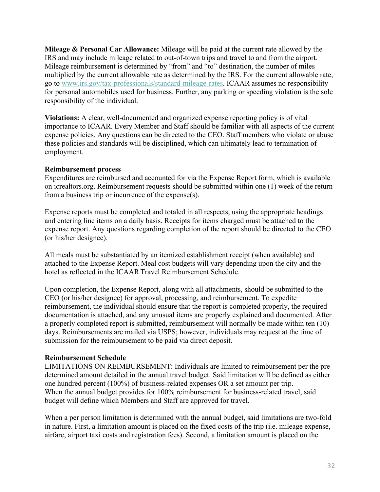**Mileage & Personal Car Allowance:** Mileage will be paid at the current rate allowed by the IRS and may include mileage related to out-of-town trips and travel to and from the airport. Mileage reimbursement is determined by "from" and "to" destination, the number of miles multiplied by the current allowable rate as determined by the IRS. For the current allowable rate, go to www.irs.gov/tax-professionals/standard-mileage-rates. ICAAR assumes no responsibility for personal automobiles used for business. Further, any parking or speeding violation is the sole responsibility of the individual.

**Violations:** A clear, well-documented and organized expense reporting policy is of vital importance to ICAAR. Every Member and Staff should be familiar with all aspects of the current expense policies. Any questions can be directed to the CEO. Staff members who violate or abuse these policies and standards will be disciplined, which can ultimately lead to termination of employment.

#### **Reimbursement process**

Expenditures are reimbursed and accounted for via the Expense Report form, which is available on icrealtors.org. Reimbursement requests should be submitted within one (1) week of the return from a business trip or incurrence of the expense(s).

Expense reports must be completed and totaled in all respects, using the appropriate headings and entering line items on a daily basis. Receipts for items charged must be attached to the expense report. Any questions regarding completion of the report should be directed to the CEO (or his/her designee).

All meals must be substantiated by an itemized establishment receipt (when available) and attached to the Expense Report. Meal cost budgets will vary depending upon the city and the hotel as reflected in the ICAAR Travel Reimbursement Schedule.

Upon completion, the Expense Report, along with all attachments, should be submitted to the CEO (or his/her designee) for approval, processing, and reimbursement. To expedite reimbursement, the individual should ensure that the report is completed properly, the required documentation is attached, and any unusual items are properly explained and documented. After a properly completed report is submitted, reimbursement will normally be made within ten (10) days. Reimbursements are mailed via USPS; however, individuals may request at the time of submission for the reimbursement to be paid via direct deposit.

## **Reimbursement Schedule**

LIMITATIONS ON REIMBURSEMENT: Individuals are limited to reimbursement per the predetermined amount detailed in the annual travel budget. Said limitation will be defined as either one hundred percent (100%) of business-related expenses OR a set amount per trip. When the annual budget provides for 100% reimbursement for business-related travel, said budget will define which Members and Staff are approved for travel.

When a per person limitation is determined with the annual budget, said limitations are two-fold in nature. First, a limitation amount is placed on the fixed costs of the trip (i.e. mileage expense, airfare, airport taxi costs and registration fees). Second, a limitation amount is placed on the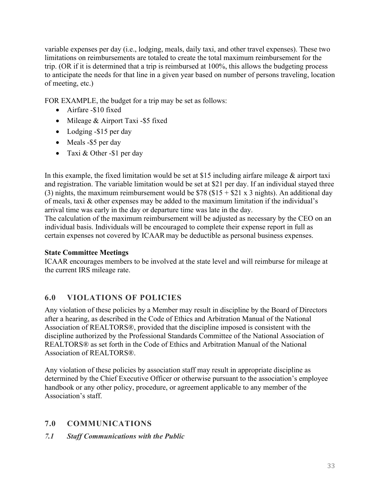variable expenses per day (i.e., lodging, meals, daily taxi, and other travel expenses). These two limitations on reimbursements are totaled to create the total maximum reimbursement for the trip. (OR if it is determined that a trip is reimbursed at 100%, this allows the budgeting process to anticipate the needs for that line in a given year based on number of persons traveling, location of meeting, etc.)

FOR EXAMPLE, the budget for a trip may be set as follows:

- Airfare -\$10 fixed
- Mileage & Airport Taxi -\$5 fixed
- Lodging -\$15 per day
- Meals -\$5 per day
- Taxi & Other -\$1 per day

In this example, the fixed limitation would be set at \$15 including airfare mileage & airport taxi and registration. The variable limitation would be set at \$21 per day. If an individual stayed three (3) nights, the maximum reimbursement would be  $$78$  (\$15 + \$21 x 3 nights). An additional day of meals, taxi & other expenses may be added to the maximum limitation if the individual's arrival time was early in the day or departure time was late in the day.

The calculation of the maximum reimbursement will be adjusted as necessary by the CEO on an individual basis. Individuals will be encouraged to complete their expense report in full as certain expenses not covered by ICAAR may be deductible as personal business expenses.

## **State Committee Meetings**

ICAAR encourages members to be involved at the state level and will reimburse for mileage at the current IRS mileage rate.

# **6.0 VIOLATIONS OF POLICIES**

Any violation of these policies by a Member may result in discipline by the Board of Directors after a hearing, as described in the Code of Ethics and Arbitration Manual of the National Association of REALTORS®, provided that the discipline imposed is consistent with the discipline authorized by the Professional Standards Committee of the National Association of REALTORS® as set forth in the Code of Ethics and Arbitration Manual of the National Association of REALTORS®.

Any violation of these policies by association staff may result in appropriate discipline as determined by the Chief Executive Officer or otherwise pursuant to the association's employee handbook or any other policy, procedure, or agreement applicable to any member of the Association's staff.

# **7.0 COMMUNICATIONS**

*7.1 Staff Communications with the Public*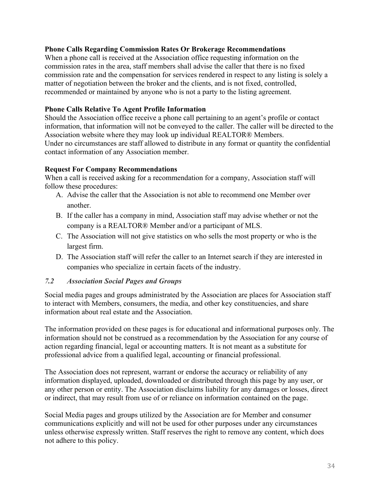#### **Phone Calls Regarding Commission Rates Or Brokerage Recommendations**

When a phone call is received at the Association office requesting information on the commission rates in the area, staff members shall advise the caller that there is no fixed commission rate and the compensation for services rendered in respect to any listing is solely a matter of negotiation between the broker and the clients, and is not fixed, controlled, recommended or maintained by anyone who is not a party to the listing agreement.

## **Phone Calls Relative To Agent Profile Information**

Should the Association office receive a phone call pertaining to an agent's profile or contact information, that information will not be conveyed to the caller. The caller will be directed to the Association website where they may look up individual REALTOR® Members. Under no circumstances are staff allowed to distribute in any format or quantity the confidential contact information of any Association member.

#### **Request For Company Recommendations**

When a call is received asking for a recommendation for a company, Association staff will follow these procedures:

- A. Advise the caller that the Association is not able to recommend one Member over another.
- B. If the caller has a company in mind, Association staff may advise whether or not the company is a REALTOR® Member and/or a participant of MLS.
- C. The Association will not give statistics on who sells the most property or who is the largest firm.
- D. The Association staff will refer the caller to an Internet search if they are interested in companies who specialize in certain facets of the industry.

## *7.2 Association Social Pages and Groups*

Social media pages and groups administrated by the Association are places for Association staff to interact with Members, consumers, the media, and other key constituencies, and share information about real estate and the Association.

The information provided on these pages is for educational and informational purposes only. The information should not be construed as a recommendation by the Association for any course of action regarding financial, legal or accounting matters. It is not meant as a substitute for professional advice from a qualified legal, accounting or financial professional.

The Association does not represent, warrant or endorse the accuracy or reliability of any information displayed, uploaded, downloaded or distributed through this page by any user, or any other person or entity. The Association disclaims liability for any damages or losses, direct or indirect, that may result from use of or reliance on information contained on the page.

Social Media pages and groups utilized by the Association are for Member and consumer communications explicitly and will not be used for other purposes under any circumstances unless otherwise expressly written. Staff reserves the right to remove any content, which does not adhere to this policy.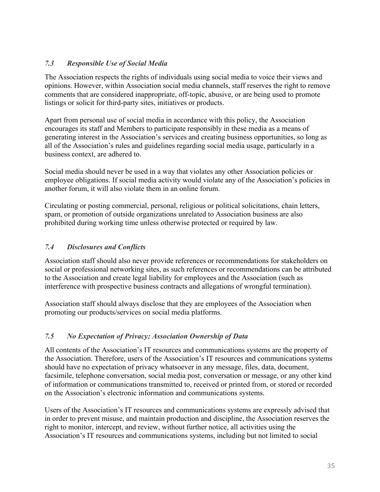## *7.3 Responsible Use of Social Media*

The Association respects the rights of individuals using social media to voice their views and opinions. However, within Association social media channels, staff reserves the right to remove comments that are considered inappropriate, off-topic, abusive, or are being used to promote listings or solicit for third-party sites, initiatives or products.

Apart from personal use of social media in accordance with this policy, the Association encourages its staff and Members to participate responsibly in these media as a means of generating interest in the Association's services and creating business opportunities, so long as all of the Association's rules and guidelines regarding social media usage, particularly in a business context, are adhered to.

Social media should never be used in a way that violates any other Association policies or employee obligations. If social media activity would violate any of the Association's policies in another forum, it will also violate them in an online forum.

Circulating or posting commercial, personal, religious or political solicitations, chain letters, spam, or promotion of outside organizations unrelated to Association business are also prohibited during working time unless otherwise protected or required by law.

## *7.4 Disclosures and Conflicts*

Association staff should also never provide references or recommendations for stakeholders on social or professional networking sites, as such references or recommendations can be attributed to the Association and create legal liability for employees and the Association (such as interference with prospective business contracts and allegations of wrongful termination).

Association staff should always disclose that they are employees of the Association when promoting our products/services on social media platforms.

## *7.5 No Expectation of Privacy; Association Ownership of Data*

All contents of the Association's IT resources and communications systems are the property of the Association. Therefore, users of the Association's IT resources and communications systems should have no expectation of privacy whatsoever in any message, files, data, document, facsimile, telephone conversation, social media post, conversation or message, or any other kind of information or communications transmitted to, received or printed from, or stored or recorded on the Association's electronic information and communications systems.

Users of the Association's IT resources and communications systems are expressly advised that in order to prevent misuse, and maintain production and discipline, the Association reserves the right to monitor, intercept, and review, without further notice, all activities using the Association's IT resources and communications systems, including but not limited to social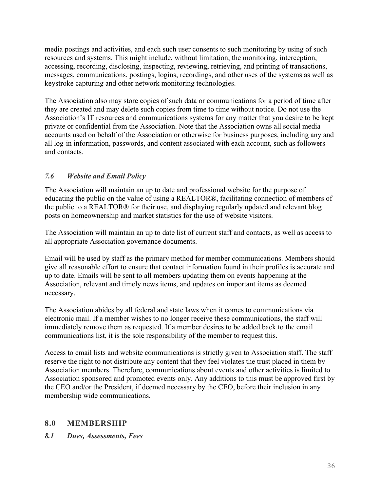media postings and activities, and each such user consents to such monitoring by using of such resources and systems. This might include, without limitation, the monitoring, interception, accessing, recording, disclosing, inspecting, reviewing, retrieving, and printing of transactions, messages, communications, postings, logins, recordings, and other uses of the systems as well as keystroke capturing and other network monitoring technologies.

The Association also may store copies of such data or communications for a period of time after they are created and may delete such copies from time to time without notice. Do not use the Association's IT resources and communications systems for any matter that you desire to be kept private or confidential from the Association. Note that the Association owns all social media accounts used on behalf of the Association or otherwise for business purposes, including any and all log-in information, passwords, and content associated with each account, such as followers and contacts.

## *7.6 Website and Email Policy*

The Association will maintain an up to date and professional website for the purpose of educating the public on the value of using a REALTOR®, facilitating connection of members of the public to a REALTOR® for their use, and displaying regularly updated and relevant blog posts on homeownership and market statistics for the use of website visitors.

The Association will maintain an up to date list of current staff and contacts, as well as access to all appropriate Association governance documents.

Email will be used by staff as the primary method for member communications. Members should give all reasonable effort to ensure that contact information found in their profiles is accurate and up to date. Emails will be sent to all members updating them on events happening at the Association, relevant and timely news items, and updates on important items as deemed necessary.

The Association abides by all federal and state laws when it comes to communications via electronic mail. If a member wishes to no longer receive these communications, the staff will immediately remove them as requested. If a member desires to be added back to the email communications list, it is the sole responsibility of the member to request this.

Access to email lists and website communications is strictly given to Association staff. The staff reserve the right to not distribute any content that they feel violates the trust placed in them by Association members. Therefore, communications about events and other activities is limited to Association sponsored and promoted events only. Any additions to this must be approved first by the CEO and/or the President, if deemed necessary by the CEO, before their inclusion in any membership wide communications.

## **8.0 MEMBERSHIP**

## *8.1 Dues, Assessments, Fees*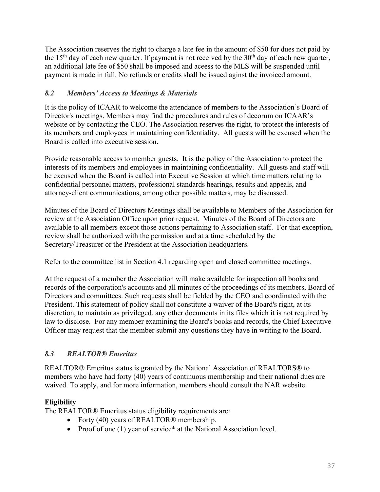The Association reserves the right to charge a late fee in the amount of \$50 for dues not paid by the 15<sup>th</sup> day of each new quarter. If payment is not received by the  $30<sup>th</sup>$  day of each new quarter, an additional late fee of \$50 shall be imposed and aceess to the MLS will be suspended until payment is made in full. No refunds or credits shall be issued aginst the invoiced amount.

## *8.2 Members' Access to Meetings & Materials*

It is the policy of ICAAR to welcome the attendance of members to the Association's Board of Director's meetings. Members may find the procedures and rules of decorum on ICAAR's website or by contacting the CEO. The Association reserves the right, to protect the interests of its members and employees in maintaining confidentiality. All guests will be excused when the Board is called into executive session.

Provide reasonable access to member guests. It is the policy of the Association to protect the interests of its members and employees in maintaining confidentiality. All guests and staff will be excused when the Board is called into Executive Session at which time matters relating to confidential personnel matters, professional standards hearings, results and appeals, and attorney-client communications, among other possible matters, may be discussed.

Minutes of the Board of Directors Meetings shall be available to Members of the Association for review at the Association Office upon prior request. Minutes of the Board of Directors are available to all members except those actions pertaining to Association staff. For that exception, review shall be authorized with the permission and at a time scheduled by the Secretary/Treasurer or the President at the Association headquarters.

Refer to the committee list in Section 4.1 regarding open and closed committee meetings.

At the request of a member the Association will make available for inspection all books and records of the corporation's accounts and all minutes of the proceedings of its members, Board of Directors and committees. Such requests shall be fielded by the CEO and coordinated with the President. This statement of policy shall not constitute a waiver of the Board's right, at its discretion, to maintain as privileged, any other documents in its files which it is not required by law to disclose. For any member examining the Board's books and records, the Chief Executive Officer may request that the member submit any questions they have in writing to the Board.

## *8.3 REALTOR® Emeritus*

REALTOR® Emeritus status is granted by the National Association of REALTORS® to members who have had forty (40) years of continuous membership and their national dues are waived. To apply, and for more information, members should consult the NAR website.

## **Eligibility**

The REALTOR® Emeritus status eligibility requirements are:

- Forty (40) years of REALTOR® membership.
- Proof of one (1) year of service\* at the National Association level.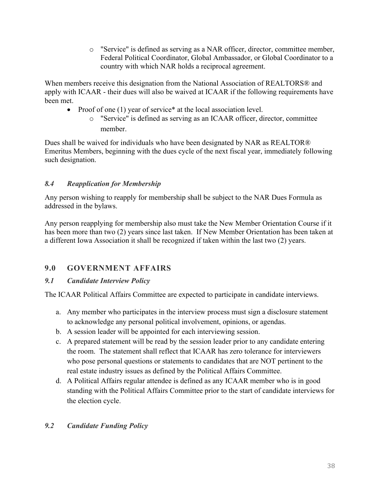o "Service" is defined as serving as a NAR officer, director, committee member, Federal Political Coordinator, Global Ambassador, or Global Coordinator to a country with which NAR holds a reciprocal agreement.

When members receive this designation from the National Association of REALTORS® and apply with ICAAR - their dues will also be waived at ICAAR if the following requirements have been met.

- Proof of one (1) year of service<sup>\*</sup> at the local association level.
	- o "Service" is defined as serving as an ICAAR officer, director, committee member.

Dues shall be waived for individuals who have been designated by NAR as REALTOR® Emeritus Members, beginning with the dues cycle of the next fiscal year, immediately following such designation.

# *8.4 Reapplication for Membership*

Any person wishing to reapply for membership shall be subject to the NAR Dues Formula as addressed in the bylaws.

Any person reapplying for membership also must take the New Member Orientation Course if it has been more than two (2) years since last taken. If New Member Orientation has been taken at a different Iowa Association it shall be recognized if taken within the last two (2) years.

# **9.0 GOVERNMENT AFFAIRS**

# *9.1 Candidate Interview Policy*

The ICAAR Political Affairs Committee are expected to participate in candidate interviews.

- a. Any member who participates in the interview process must sign a disclosure statement to acknowledge any personal political involvement, opinions, or agendas.
- b. A session leader will be appointed for each interviewing session.
- c. A prepared statement will be read by the session leader prior to any candidate entering the room. The statement shall reflect that ICAAR has zero tolerance for interviewers who pose personal questions or statements to candidates that are NOT pertinent to the real estate industry issues as defined by the Political Affairs Committee.
- d. A Political Affairs regular attendee is defined as any ICAAR member who is in good standing with the Political Affairs Committee prior to the start of candidate interviews for the election cycle.

# *9.2 Candidate Funding Policy*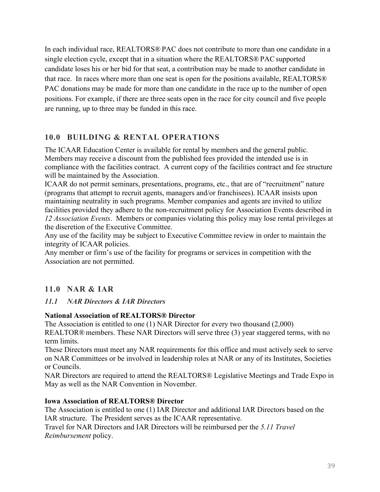In each individual race, REALTORS® PAC does not contribute to more than one candidate in a single election cycle, except that in a situation where the REALTORS® PAC supported candidate loses his or her bid for that seat, a contribution may be made to another candidate in that race. In races where more than one seat is open for the positions available, REALTORS® PAC donations may be made for more than one candidate in the race up to the number of open positions. For example, if there are three seats open in the race for city council and five people are running, up to three may be funded in this race.

# **10.0 BUILDING & RENTAL OPERATIONS**

The ICAAR Education Center is available for rental by members and the general public. Members may receive a discount from the published fees provided the intended use is in compliance with the facilities contract. A current copy of the facilities contract and fee structure will be maintained by the Association.

ICAAR do not permit seminars, presentations, programs, etc., that are of "recruitment" nature (programs that attempt to recruit agents, managers and/or franchisees). ICAAR insists upon maintaining neutrality in such programs. Member companies and agents are invited to utilize facilities provided they adhere to the non-recruitment policy for Association Events described in *12 Association Events*. Members or companies violating this policy may lose rental privileges at the discretion of the Executive Committee.

Any use of the facility may be subject to Executive Committee review in order to maintain the integrity of ICAAR policies.

Any member or firm's use of the facility for programs or services in competition with the Association are not permitted.

# **11.0 NAR & IAR**

## *11.1 NAR Directors & IAR Directors*

#### **National Association of REALTORS® Director**

The Association is entitled to one (1) NAR Director for every two thousand (2,000) REALTOR® members. These NAR Directors will serve three (3) year staggered terms, with no term limits.

These Directors must meet any NAR requirements for this office and must actively seek to serve on NAR Committees or be involved in leadership roles at NAR or any of its Institutes, Societies or Councils.

NAR Directors are required to attend the REALTORS® Legislative Meetings and Trade Expo in May as well as the NAR Convention in November.

## **Iowa Association of REALTORS® Director**

The Association is entitled to one (1) IAR Director and additional IAR Directors based on the IAR structure. The President serves as the ICAAR representative.

Travel for NAR Directors and IAR Directors will be reimbursed per the *5.11 Travel Reimbursement* policy.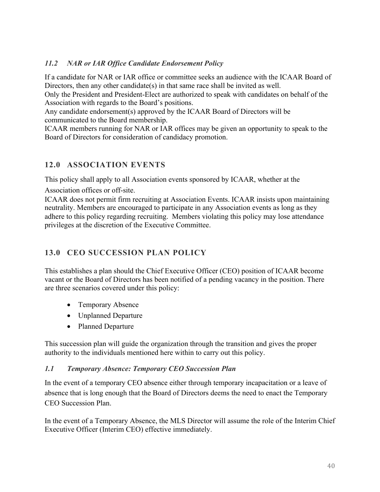## *11.2 NAR or IAR Office Candidate Endorsement Policy*

If a candidate for NAR or IAR office or committee seeks an audience with the ICAAR Board of Directors, then any other candidate(s) in that same race shall be invited as well.

Only the President and President-Elect are authorized to speak with candidates on behalf of the Association with regards to the Board's positions.

Any candidate endorsement(s) approved by the ICAAR Board of Directors will be communicated to the Board membership.

ICAAR members running for NAR or IAR offices may be given an opportunity to speak to the Board of Directors for consideration of candidacy promotion.

## **12.0 ASSOCIATION EVENTS**

This policy shall apply to all Association events sponsored by ICAAR, whether at the

Association offices or off-site.

ICAAR does not permit firm recruiting at Association Events. ICAAR insists upon maintaining neutrality. Members are encouraged to participate in any Association events as long as they adhere to this policy regarding recruiting. Members violating this policy may lose attendance privileges at the discretion of the Executive Committee.

# **13.0 CEO SUCCESSION PLAN POLICY**

This establishes a plan should the Chief Executive Officer (CEO) position of ICAAR become vacant or the Board of Directors has been notified of a pending vacancy in the position. There are three scenarios covered under this policy:

- Temporary Absence
- Unplanned Departure
- Planned Departure

This succession plan will guide the organization through the transition and gives the proper authority to the individuals mentioned here within to carry out this policy.

## *1.1 Temporary Absence: Temporary CEO Succession Plan*

In the event of a temporary CEO absence either through temporary incapacitation or a leave of absence that is long enough that the Board of Directors deems the need to enact the Temporary CEO Succession Plan.

In the event of a Temporary Absence, the MLS Director will assume the role of the Interim Chief Executive Officer (Interim CEO) effective immediately.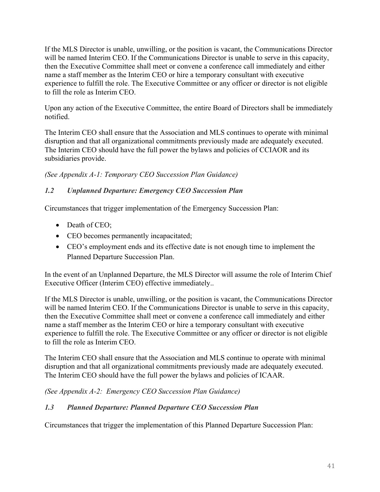If the MLS Director is unable, unwilling, or the position is vacant, the Communications Director will be named Interim CEO. If the Communications Director is unable to serve in this capacity, then the Executive Committee shall meet or convene a conference call immediately and either name a staff member as the Interim CEO or hire a temporary consultant with executive experience to fulfill the role. The Executive Committee or any officer or director is not eligible to fill the role as Interim CEO.

Upon any action of the Executive Committee, the entire Board of Directors shall be immediately notified.

The Interim CEO shall ensure that the Association and MLS continues to operate with minimal disruption and that all organizational commitments previously made are adequately executed. The Interim CEO should have the full power the bylaws and policies of CCIAOR and its subsidiaries provide.

*(See Appendix A-1: Temporary CEO Succession Plan Guidance)*

## *1.2 Unplanned Departure: Emergency CEO Succession Plan*

Circumstances that trigger implementation of the Emergency Succession Plan:

- Death of CEO;
- CEO becomes permanently incapacitated;
- CEO's employment ends and its effective date is not enough time to implement the Planned Departure Succession Plan.

In the event of an Unplanned Departure, the MLS Director will assume the role of Interim Chief Executive Officer (Interim CEO) effective immediately..

If the MLS Director is unable, unwilling, or the position is vacant, the Communications Director will be named Interim CEO. If the Communications Director is unable to serve in this capacity, then the Executive Committee shall meet or convene a conference call immediately and either name a staff member as the Interim CEO or hire a temporary consultant with executive experience to fulfill the role. The Executive Committee or any officer or director is not eligible to fill the role as Interim CEO.

The Interim CEO shall ensure that the Association and MLS continue to operate with minimal disruption and that all organizational commitments previously made are adequately executed. The Interim CEO should have the full power the bylaws and policies of ICAAR.

*(See Appendix A-2: Emergency CEO Succession Plan Guidance)*

## *1.3 Planned Departure: Planned Departure CEO Succession Plan*

Circumstances that trigger the implementation of this Planned Departure Succession Plan: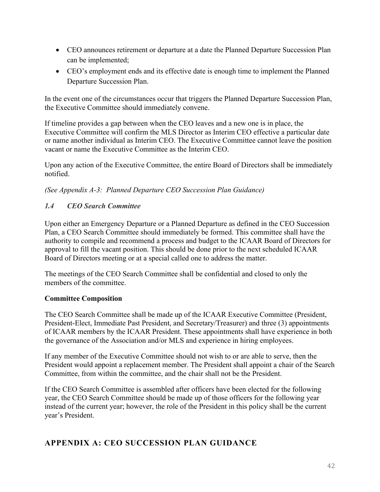- CEO announces retirement or departure at a date the Planned Departure Succession Plan can be implemented;
- CEO's employment ends and its effective date is enough time to implement the Planned Departure Succession Plan.

In the event one of the circumstances occur that triggers the Planned Departure Succession Plan, the Executive Committee should immediately convene.

If timeline provides a gap between when the CEO leaves and a new one is in place, the Executive Committee will confirm the MLS Director as Interim CEO effective a particular date or name another individual as Interim CEO. The Executive Committee cannot leave the position vacant or name the Executive Committee as the Interim CEO.

Upon any action of the Executive Committee, the entire Board of Directors shall be immediately notified.

*(See Appendix A-3: Planned Departure CEO Succession Plan Guidance)*

## *1.4 CEO Search Committee*

Upon either an Emergency Departure or a Planned Departure as defined in the CEO Succession Plan, a CEO Search Committee should immediately be formed. This committee shall have the authority to compile and recommend a process and budget to the ICAAR Board of Directors for approval to fill the vacant position. This should be done prior to the next scheduled ICAAR Board of Directors meeting or at a special called one to address the matter.

The meetings of the CEO Search Committee shall be confidential and closed to only the members of the committee.

## **Committee Composition**

The CEO Search Committee shall be made up of the ICAAR Executive Committee (President, President-Elect, Immediate Past President, and Secretary/Treasurer) and three (3) appointments of ICAAR members by the ICAAR President. These appointments shall have experience in both the governance of the Association and/or MLS and experience in hiring employees.

If any member of the Executive Committee should not wish to or are able to serve, then the President would appoint a replacement member. The President shall appoint a chair of the Search Committee, from within the committee, and the chair shall not be the President.

If the CEO Search Committee is assembled after officers have been elected for the following year, the CEO Search Committee should be made up of those officers for the following year instead of the current year; however, the role of the President in this policy shall be the current year's President.

# **APPENDIX A: CEO SUCCESSION PLAN GUIDANCE**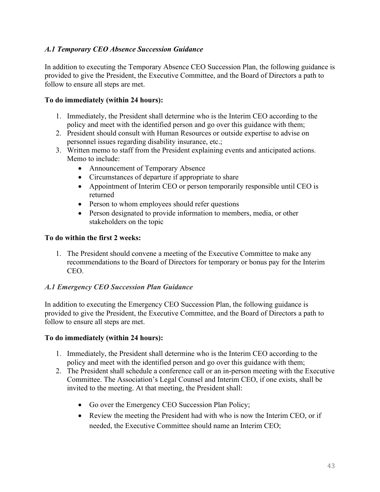## *A.1 Temporary CEO Absence Succession Guidance*

In addition to executing the Temporary Absence CEO Succession Plan, the following guidance is provided to give the President, the Executive Committee, and the Board of Directors a path to follow to ensure all steps are met.

## **To do immediately (within 24 hours):**

- 1. Immediately, the President shall determine who is the Interim CEO according to the policy and meet with the identified person and go over this guidance with them;
- 2. President should consult with Human Resources or outside expertise to advise on personnel issues regarding disability insurance, etc.;
- 3. Written memo to staff from the President explaining events and anticipated actions. Memo to include:
	- Announcement of Temporary Absence
	- Circumstances of departure if appropriate to share
	- Appointment of Interim CEO or person temporarily responsible until CEO is returned
	- Person to whom employees should refer questions
	- Person designated to provide information to members, media, or other stakeholders on the topic

## **To do within the first 2 weeks:**

1. The President should convene a meeting of the Executive Committee to make any recommendations to the Board of Directors for temporary or bonus pay for the Interim CEO.

## *A.1 Emergency CEO Succession Plan Guidance*

In addition to executing the Emergency CEO Succession Plan, the following guidance is provided to give the President, the Executive Committee, and the Board of Directors a path to follow to ensure all steps are met.

## **To do immediately (within 24 hours):**

- 1. Immediately, the President shall determine who is the Interim CEO according to the policy and meet with the identified person and go over this guidance with them;
- 2. The President shall schedule a conference call or an in-person meeting with the Executive Committee. The Association's Legal Counsel and Interim CEO, if one exists, shall be invited to the meeting. At that meeting, the President shall:
	- Go over the Emergency CEO Succession Plan Policy;
	- Review the meeting the President had with who is now the Interim CEO, or if needed, the Executive Committee should name an Interim CEO;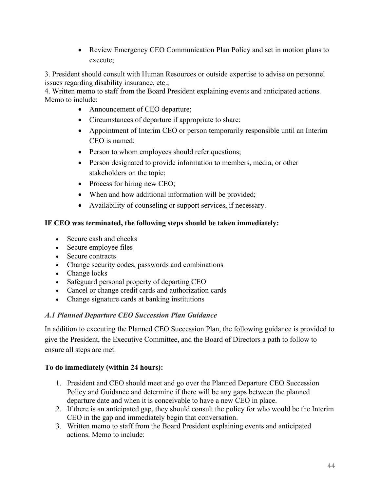• Review Emergency CEO Communication Plan Policy and set in motion plans to execute;

3. President should consult with Human Resources or outside expertise to advise on personnel issues regarding disability insurance, etc.;

4. Written memo to staff from the Board President explaining events and anticipated actions. Memo to include:

- Announcement of CEO departure;
- Circumstances of departure if appropriate to share;
- Appointment of Interim CEO or person temporarily responsible until an Interim CEO is named;
- Person to whom employees should refer questions;
- Person designated to provide information to members, media, or other stakeholders on the topic;
- Process for hiring new CEO;
- When and how additional information will be provided;
- Availability of counseling or support services, if necessary.

## **IF CEO was terminated, the following steps should be taken immediately:**

- Secure cash and checks
- Secure employee files
- Secure contracts
- Change security codes, passwords and combinations
- Change locks
- Safeguard personal property of departing CEO
- Cancel or change credit cards and authorization cards
- Change signature cards at banking institutions

## *A.1 Planned Departure CEO Succession Plan Guidance*

In addition to executing the Planned CEO Succession Plan, the following guidance is provided to give the President, the Executive Committee, and the Board of Directors a path to follow to ensure all steps are met.

## **To do immediately (within 24 hours):**

- 1. President and CEO should meet and go over the Planned Departure CEO Succession Policy and Guidance and determine if there will be any gaps between the planned departure date and when it is conceivable to have a new CEO in place.
- 2. If there is an anticipated gap, they should consult the policy for who would be the Interim CEO in the gap and immediately begin that conversation.
- 3. Written memo to staff from the Board President explaining events and anticipated actions. Memo to include: